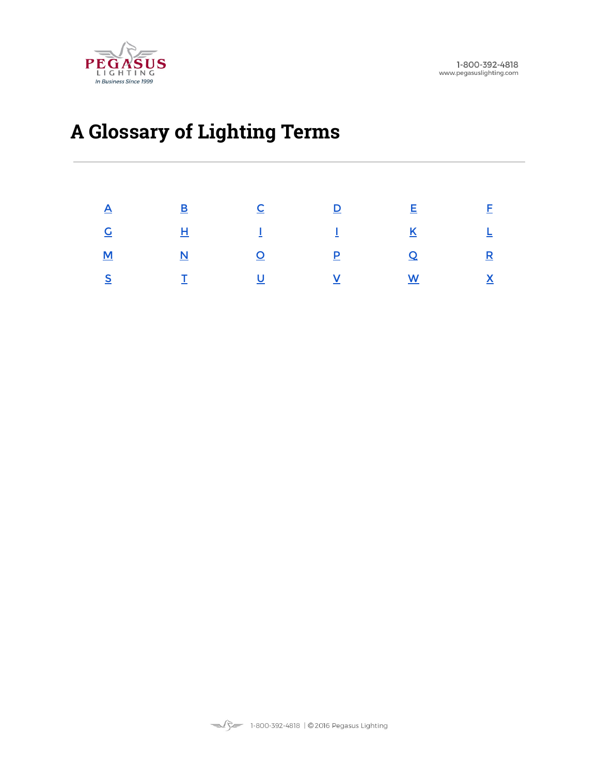

# **A Glossary of Lighting Terms**

| $\underline{A}$ , $\underline{B}$ , $\underline{C}$ , $\underline{D}$ , $\underline{E}$ , $\underline{F}$                                                                                                                                                                                                                             |  |  |
|---------------------------------------------------------------------------------------------------------------------------------------------------------------------------------------------------------------------------------------------------------------------------------------------------------------------------------------|--|--|
| $\underline{G}$ , and $\underline{H}$ , and $\underline{I}$ , and $\underline{I}$ , and $\underline{K}$ , and $\underline{L}$ , and $\underline{I}$ , and $\underline{I}$ , and $\underline{I}$ , and $\underline{I}$ , and $\underline{I}$ , and $\underline{I}$ , and $\underline{I}$ , and $\underline{I}$ , and $\underline{I}$ , |  |  |
| <u>M</u> <u>N</u> <u>O</u> <u>P</u> <u>O</u> R                                                                                                                                                                                                                                                                                        |  |  |
| $\underline{\mathsf{S}}$ , and $\underline{\mathsf{Y}}$ , and $\underline{\mathsf{Y}}$ , and $\underline{\mathsf{Y}}$ , and $\underline{\mathsf{Y}}$ , and $\underline{\mathsf{Y}}$ , and $\underline{\mathsf{Y}}$                                                                                                                    |  |  |

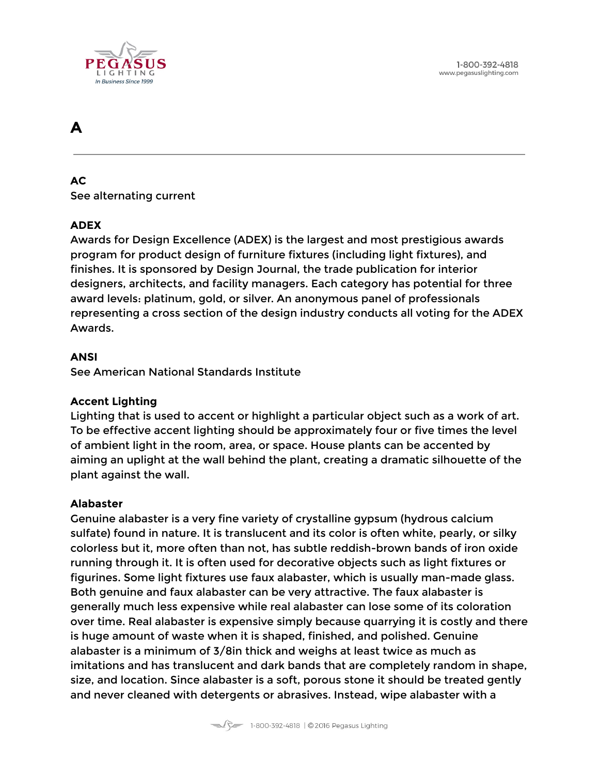

# <span id="page-1-0"></span>**A**

# **AC**

See alternating current

# **ADEX**

Awards for Design Excellence (ADEX) is the largest and most prestigious awards program for product design of furniture fixtures (including light fixtures), and finishes. It is sponsored by Design Journal, the trade publication for interior designers, architects, and facility managers. Each category has potential for three award levels: platinum, gold, or silver. An anonymous panel of professionals representing a cross section of the design industry conducts all voting for the ADEX Awards.

#### **ANSI**

See American National Standards Institute

#### **Accent Lighting**

Lighting that is used to accent or highlight a particular object such as a work of art. To be effective accent lighting should be approximately four or five times the level of ambient light in the room, area, or space. House plants can be accented by aiming an uplight at the wall behind the plant, creating a dramatic silhouette of the plant against the wall.

#### **Alabaster**

Genuine alabaster is a very fine variety of crystalline gypsum (hydrous calcium sulfate) found in nature. It is translucent and its color is often white, pearly, or silky colorless but it, more often than not, has subtle reddish-brown bands of iron oxide running through it. It is often used for decorative objects such as light fixtures or figurines. Some light fixtures use faux alabaster, which is usually man-made glass. Both genuine and faux alabaster can be very attractive. The faux alabaster is generally much less expensive while real alabaster can lose some of its coloration over time. Real alabaster is expensive simply because quarrying it is costly and there is huge amount of waste when it is shaped, finished, and polished. Genuine alabaster is a minimum of 3/8in thick and weighs at least twice as much as imitations and has translucent and dark bands that are completely random in shape, size, and location. Since alabaster is a soft, porous stone it should be treated gently and never cleaned with detergents or abrasives. Instead, wipe alabaster with a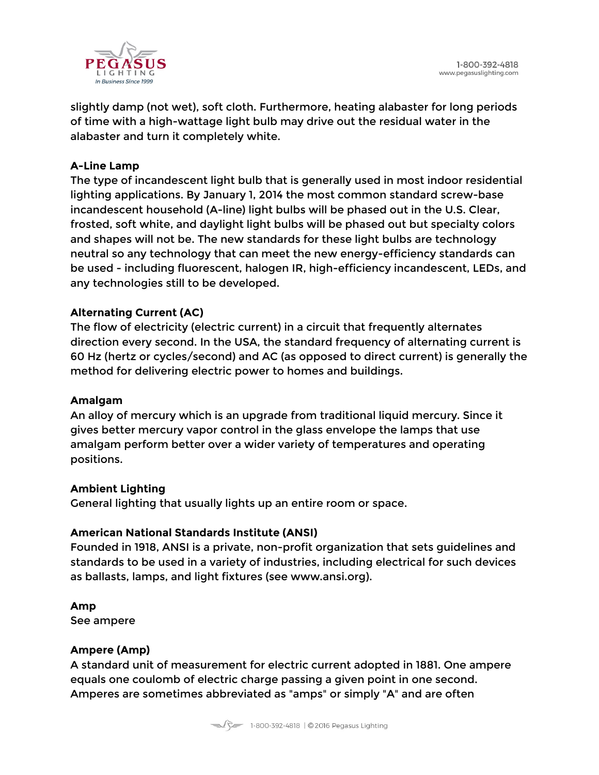

slightly damp (not wet), soft cloth. Furthermore, heating alabaster for long periods of time with a high-wattage light bulb may drive out the residual water in the alabaster and turn it completely white.

### **A-Line Lamp**

The type of incandescent light bulb that is generally used in most indoor residential lighting applications. By January 1, 2014 the most common standard screw-base incandescent household (A-line) light bulbs will be phased out in the U.S. Clear, frosted, soft white, and daylight light bulbs will be phased out but specialty colors and shapes will not be. The new standards for these light bulbs are technology neutral so any technology that can meet the new energy-efficiency standards can be used - including fluorescent, halogen IR, high-efficiency incandescent, LEDs, and any technologies still to be developed.

# **Alternating Current (AC)**

The flow of electricity (electric current) in a circuit that frequently alternates direction every second. In the USA, the standard frequency of alternating current is 60 Hz (hertz or cycles/second) and AC (as opposed to direct current) is generally the method for delivering electric power to homes and buildings.

#### **Amalgam**

An alloy of mercury which is an upgrade from traditional liquid mercury. Since it gives better mercury vapor control in the glass envelope the lamps that use amalgam perform better over a wider variety of temperatures and operating positions.

#### **Ambient Lighting**

General lighting that usually lights up an entire room or space.

#### **American National Standards Institute (ANSI)**

Founded in 1918, ANSI is a private, non-profit organization that sets guidelines and standards to be used in a variety of industries, including electrical for such devices as ballasts, lamps, and light fixtures (see www.ansi.org).

**Amp** See ampere

#### **Ampere (Amp)**

A standard unit of measurement for electric current adopted in 1881. One ampere equals one coulomb of electric charge passing a given point in one second. Amperes are sometimes abbreviated as "amps" or simply "A" and are often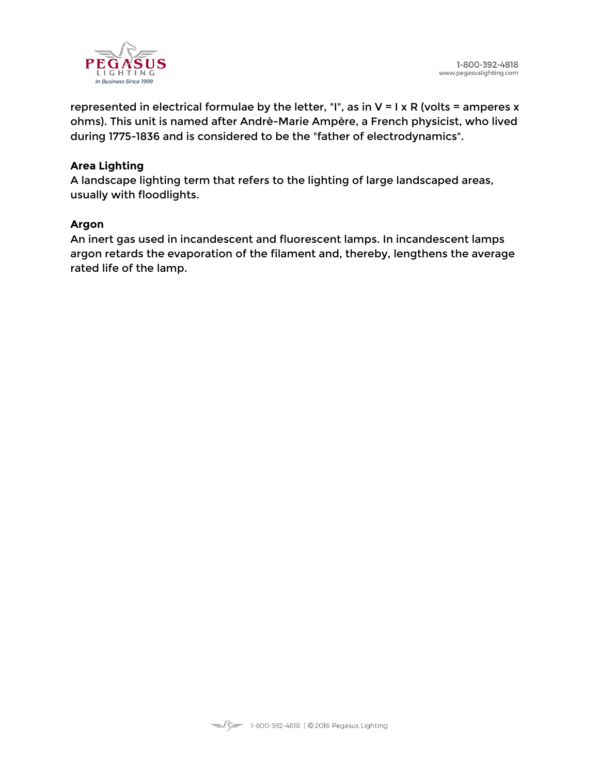

represented in electrical formulae by the letter, "I", as in  $V = I \times R$  (volts = amperes x ohms). This unit is named after Andrè-Marie Ampère, a French physicist, who lived during 1775-1836 and is considered to be the "father of electrodynamics".

#### **Area Lighting**

A landscape lighting term that refers to the lighting of large landscaped areas, usually with floodlights.

#### **Argon**

An inert gas used in incandescent and fluorescent lamps. In incandescent lamps argon retards the evaporation of the filament and, thereby, lengthens the average rated life of the lamp.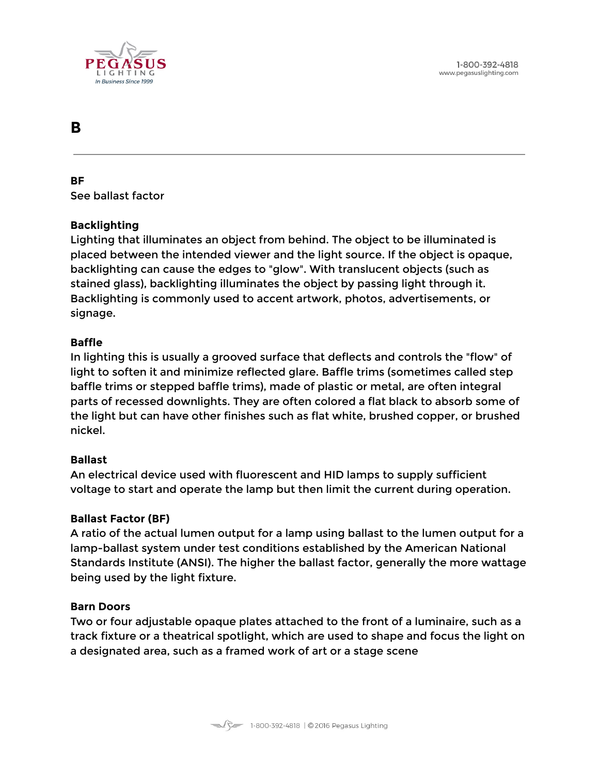

# <span id="page-4-0"></span>**B**

**BF** See ballast factor

# **Backlighting**

Lighting that illuminates an object from behind. The object to be illuminated is placed between the intended viewer and the light source. If the object is opaque, backlighting can cause the edges to "glow". With translucent objects (such as stained glass), backlighting illuminates the object by passing light through it. Backlighting is commonly used to accent artwork, photos, advertisements, or signage.

#### **Baffle**

In lighting this is usually a grooved surface that deflects and controls the "flow" of light to soften it and minimize reflected glare. Baffle trims (sometimes called step baffle trims or stepped baffle trims), made of plastic or metal, are often integral parts of recessed downlights. They are often colored a flat black to absorb some of the light but can have other finishes such as flat white, brushed copper, or brushed nickel.

#### **Ballast**

An electrical device used with fluorescent and HID lamps to supply sufficient voltage to start and operate the lamp but then limit the current during operation.

#### **Ballast Factor (BF)**

A ratio of the actual lumen output for a lamp using ballast to the lumen output for a lamp-ballast system under test conditions established by the American National Standards Institute (ANSI). The higher the ballast factor, generally the more wattage being used by the light fixture.

#### **Barn Doors**

Two or four adjustable opaque plates attached to the front of a luminaire, such as a track fixture or a theatrical spotlight, which are used to shape and focus the light on a designated area, such as a framed work of art or a stage scene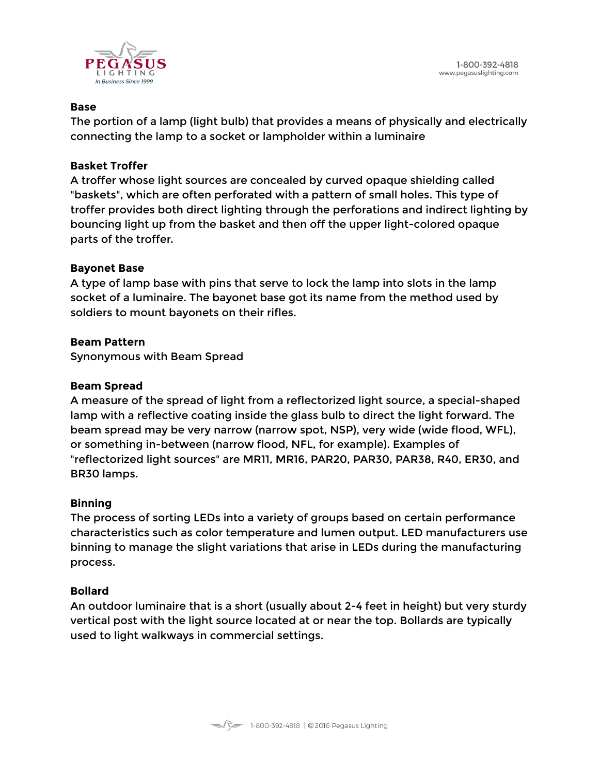

#### **Base**

The portion of a lamp (light bulb) that provides a means of physically and electrically connecting the lamp to a socket or lampholder within a luminaire

#### **Basket Troffer**

A troffer whose light sources are concealed by curved opaque shielding called "baskets", which are often perforated with a pattern of small holes. This type of troffer provides both direct lighting through the perforations and indirect lighting by bouncing light up from the basket and then off the upper light-colored opaque parts of the troffer.

#### **Bayonet Base**

A type of lamp base with pins that serve to lock the lamp into slots in the lamp socket of a luminaire. The bayonet base got its name from the method used by soldiers to mount bayonets on their rifles.

#### **Beam Pattern**

Synonymous with Beam Spread

#### **Beam Spread**

A measure of the spread of light from a reflectorized light source, a special-shaped lamp with a reflective coating inside the glass bulb to direct the light forward. The beam spread may be very narrow (narrow spot, NSP), very wide (wide flood, WFL), or something in-between (narrow flood, NFL, for example). Examples of "reflectorized light sources" are MR11, MR16, PAR20, PAR30, PAR38, R40, ER30, and BR30 lamps.

#### **Binning**

The process of sorting LEDs into a variety of groups based on certain performance characteristics such as color temperature and lumen output. LED manufacturers use binning to manage the slight variations that arise in LEDs during the manufacturing process.

#### **Bollard**

An outdoor luminaire that is a short (usually about 2-4 feet in height) but very sturdy vertical post with the light source located at or near the top. Bollards are typically used to light walkways in commercial settings.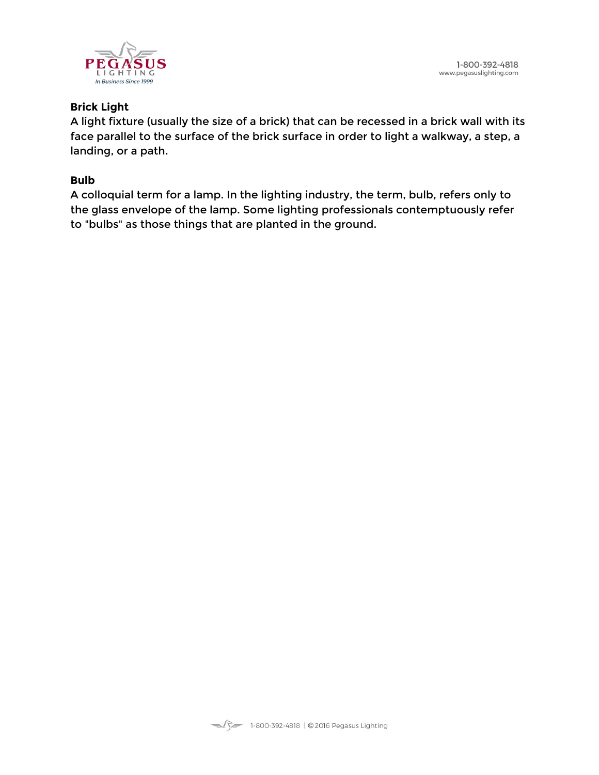



### **Brick Light**

A light fixture (usually the size of a brick) that can be recessed in a brick wall with its face parallel to the surface of the brick surface in order to light a walkway, a step, a landing, or a path.

### **Bulb**

A colloquial term for a lamp. In the lighting industry, the term, bulb, refers only to the glass envelope of the lamp. Some lighting professionals contemptuously refer to "bulbs" as those things that are planted in the ground.

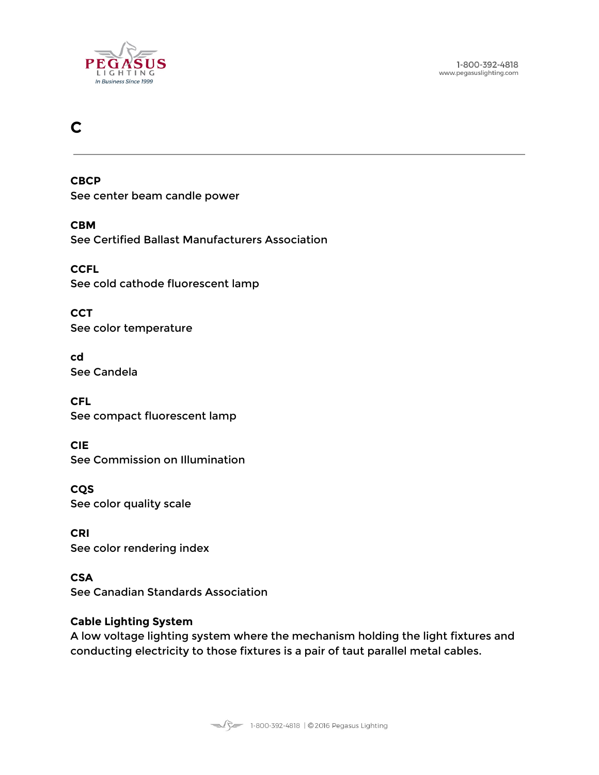

1-800-392-4818 www.pegasuslighting.com

# <span id="page-7-0"></span>**C**

**CBCP** See center beam candle power

**CBM** See Certified Ballast Manufacturers Association

**CCFL** See cold cathode fluorescent lamp

**CCT** See color temperature

**cd** See Candela

**CFL** See compact fluorescent lamp

**CIE** See Commission on Illumination

**CQS** See color quality scale

**CRI** See color rendering index

**CSA** See Canadian Standards Association

#### **Cable Lighting System**

A low voltage lighting system where the mechanism holding the light fixtures and conducting electricity to those fixtures is a pair of taut parallel metal cables.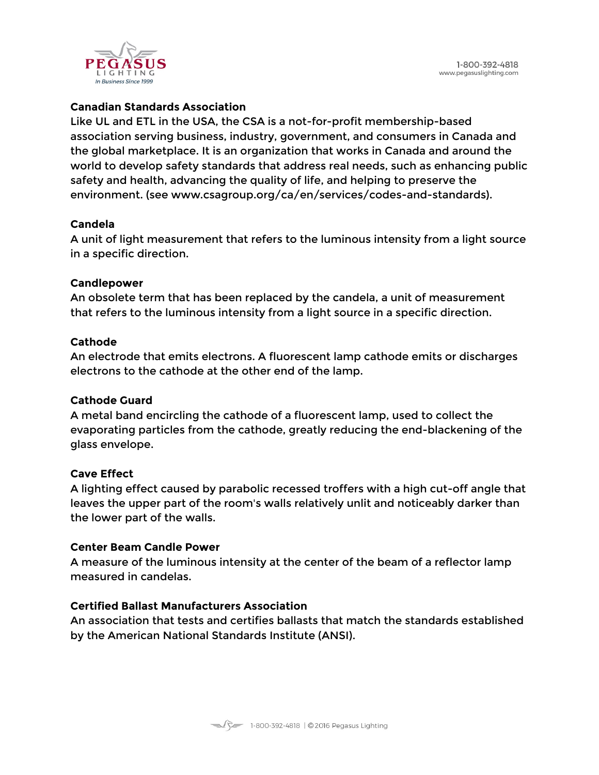

#### **Canadian Standards Association**

Like UL and ETL in the USA, the CSA is a not-for-profit membership-based association serving business, industry, government, and consumers in Canada and the global marketplace. It is an organization that works in Canada and around the world to develop safety standards that address real needs, such as enhancing public safety and health, advancing the quality of life, and helping to preserve the environment. (see www.csagroup.org/ca/en/services/codes-and-standards).

#### **Candela**

A unit of light measurement that refers to the luminous intensity from a light source in a specific direction.

#### **Candlepower**

An obsolete term that has been replaced by the candela, a unit of measurement that refers to the luminous intensity from a light source in a specific direction.

#### **Cathode**

An electrode that emits electrons. A fluorescent lamp cathode emits or discharges electrons to the cathode at the other end of the lamp.

#### **Cathode Guard**

A metal band encircling the cathode of a fluorescent lamp, used to collect the evaporating particles from the cathode, greatly reducing the end-blackening of the glass envelope.

#### **Cave Effect**

A lighting effect caused by parabolic recessed troffers with a high cut-off angle that leaves the upper part of the room's walls relatively unlit and noticeably darker than the lower part of the walls.

#### **Center Beam Candle Power**

A measure of the luminous intensity at the center of the beam of a reflector lamp measured in candelas.

# **Certified Ballast Manufacturers Association**

An association that tests and certifies ballasts that match the standards established by the American National Standards Institute (ANSI).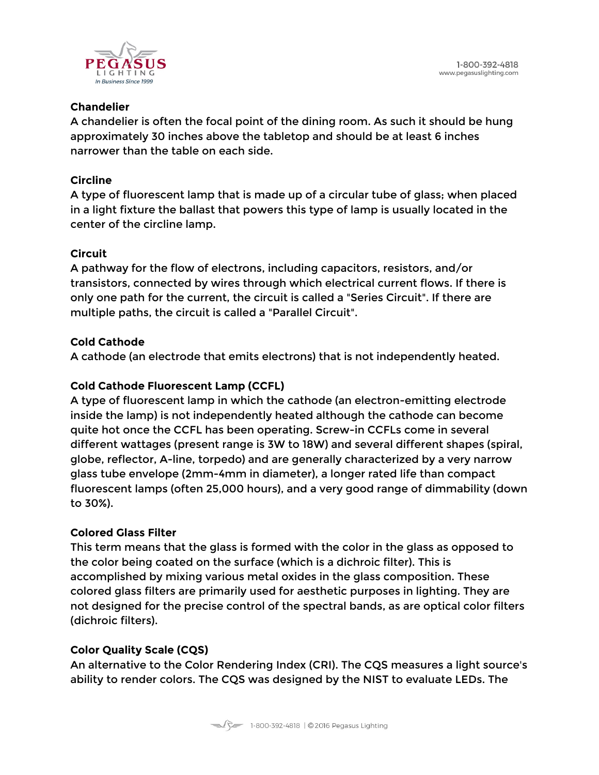

### **Chandelier**

A chandelier is often the focal point of the dining room. As such it should be hung approximately 30 inches above the tabletop and should be at least 6 inches narrower than the table on each side.

# **Circline**

A type of fluorescent lamp that is made up of a circular tube of glass; when placed in a light fixture the ballast that powers this type of lamp is usually located in the center of the circline lamp.

# **Circuit**

A pathway for the flow of electrons, including capacitors, resistors, and/or transistors, connected by wires through which electrical current flows. If there is only one path for the current, the circuit is called a "Series Circuit". If there are multiple paths, the circuit is called a "Parallel Circuit".

# **Cold Cathode**

A cathode (an electrode that emits electrons) that is not independently heated.

# **Cold Cathode Fluorescent Lamp (CCFL)**

A type of fluorescent lamp in which the cathode (an electron-emitting electrode inside the lamp) is not independently heated although the cathode can become quite hot once the CCFL has been operating. Screw-in CCFLs come in several different wattages (present range is 3W to 18W) and several different shapes (spiral, globe, reflector, A-line, torpedo) and are generally characterized by a very narrow glass tube envelope (2mm-4mm in diameter), a longer rated life than compact fluorescent lamps (often 25,000 hours), and a very good range of dimmability (down to 30%).

# **Colored Glass Filter**

This term means that the glass is formed with the color in the glass as opposed to the color being coated on the surface (which is a dichroic filter). This is accomplished by mixing various metal oxides in the glass composition. These colored glass filters are primarily used for aesthetic purposes in lighting. They are not designed for the precise control of the spectral bands, as are optical color filters (dichroic filters).

# **Color Quality Scale (CQS)**

An alternative to the Color Rendering Index (CRI). The CQS measures a light source's ability to render colors. The CQS was designed by the NIST to evaluate LEDs. The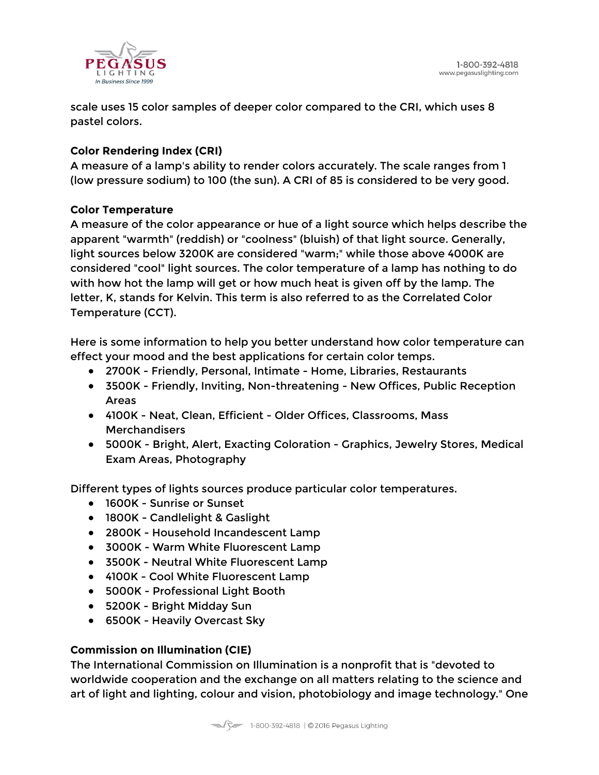

scale uses 15 color samples of deeper color compared to the CRI, which uses 8 pastel colors.

# **Color Rendering Index (CRI)**

A measure of a lamp's ability to render colors accurately. The scale ranges from 1 (low pressure sodium) to 100 (the sun). A CRI of 85 is considered to be very good.

#### **Color Temperature**

A measure of the color appearance or hue of a light source which helps describe the apparent "warmth" (reddish) or "coolness" (bluish) of that light source. Generally, light sources below 3200K are considered "warm;" while those above 4000K are considered "cool" light sources. The color temperature of a lamp has nothing to do with how hot the lamp will get or how much heat is given off by the lamp. The letter, K, stands for Kelvin. This term is also referred to as the Correlated Color Temperature (CCT).

Here is some information to help you better understand how color temperature can effect your mood and the best applications for certain color temps.

- 2700K Friendly, Personal, Intimate Home, Libraries, Restaurants
- 3500K Friendly, Inviting, Non-threatening New Offices, Public Reception Areas
- 4100K Neat, Clean, Efficient Older Offices, Classrooms, Mass **Merchandisers**
- 5000K Bright, Alert, Exacting Coloration Graphics, Jewelry Stores, Medical Exam Areas, Photography

Different types of lights sources produce particular color temperatures.

- 1600K Sunrise or Sunset
- 1800K Candlelight & Gaslight
- 2800K Household Incandescent Lamp
- 3000K Warm White Fluorescent Lamp
- 3500K Neutral White Fluorescent Lamp
- 4100K Cool White Fluorescent Lamp
- 5000K Professional Light Booth
- 5200K Bright Midday Sun
- 6500K Heavily Overcast Sky

# **Commission on Illumination (CIE)**

The International Commission on Illumination is a nonprofit that is "devoted to worldwide cooperation and the exchange on all matters relating to the science and art of light and lighting, colour and vision, photobiology and image technology." One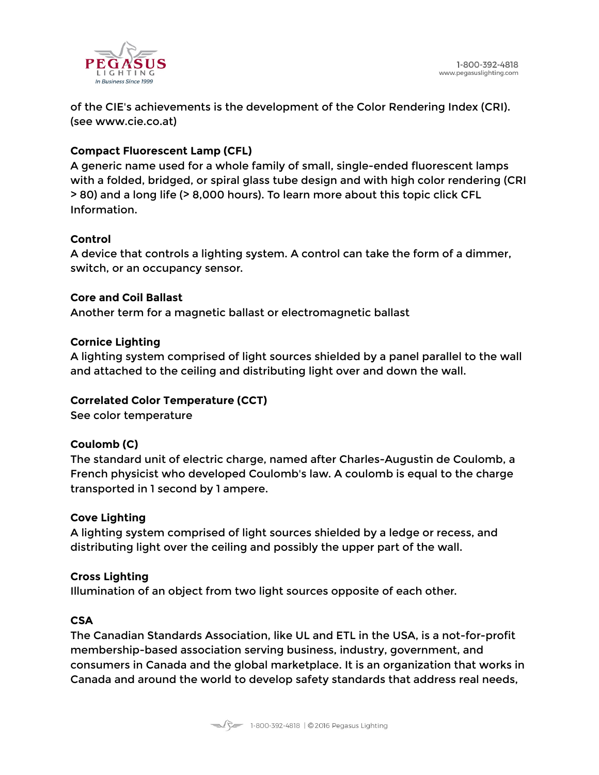

of the CIE's achievements is the development of the Color Rendering Index (CRI). (see www.cie.co.at)

### **Compact Fluorescent Lamp (CFL)**

A generic name used for a whole family of small, single-ended fluorescent lamps with a folded, bridged, or spiral glass tube design and with high color rendering (CRI > 80) and a long life (> 8,000 hours). To learn more about this topic click CFL Information.

#### **Control**

A device that controls a lighting system. A control can take the form of a dimmer, switch, or an occupancy sensor.

#### **Core and Coil Ballast**

Another term for a magnetic ballast or electromagnetic ballast

#### **Cornice Lighting**

A lighting system comprised of light sources shielded by a panel parallel to the wall and attached to the ceiling and distributing light over and down the wall.

#### **Correlated Color Temperature (CCT)**

See color temperature

#### **Coulomb (C)**

The standard unit of electric charge, named after Charles-Augustin de Coulomb, a French physicist who developed Coulomb's law. A coulomb is equal to the charge transported in 1 second by 1 ampere.

#### **Cove Lighting**

A lighting system comprised of light sources shielded by a ledge or recess, and distributing light over the ceiling and possibly the upper part of the wall.

#### **Cross Lighting**

Illumination of an object from two light sources opposite of each other.

#### **CSA**

The Canadian Standards Association, like UL and ETL in the USA, is a not-for-profit membership-based association serving business, industry, government, and consumers in Canada and the global marketplace. It is an organization that works in Canada and around the world to develop safety standards that address real needs,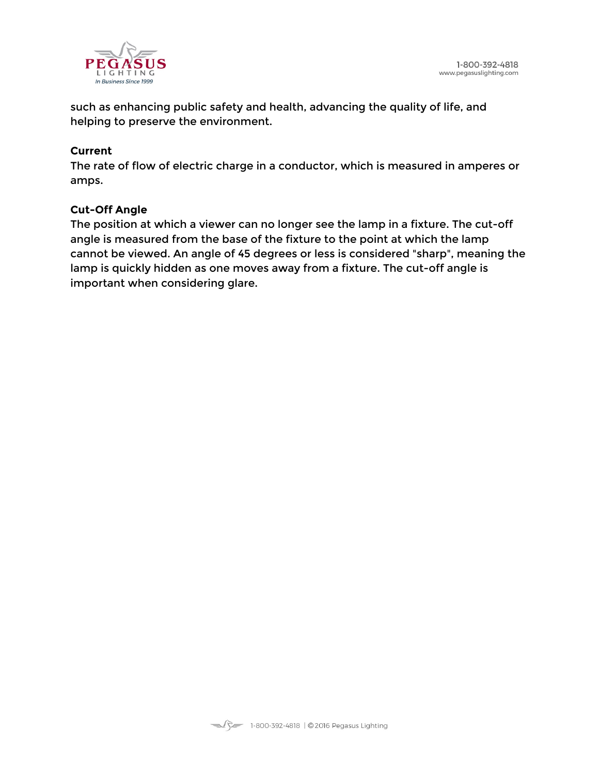

such as enhancing public safety and health, advancing the quality of life, and helping to preserve the environment.

#### **Current**

The rate of flow of electric charge in a conductor, which is measured in amperes or amps.

#### **Cut-Off Angle**

The position at which a viewer can no longer see the lamp in a fixture. The cut-off angle is measured from the base of the fixture to the point at which the lamp cannot be viewed. An angle of 45 degrees or less is considered "sharp", meaning the lamp is quickly hidden as one moves away from a fixture. The cut-off angle is important when considering glare.

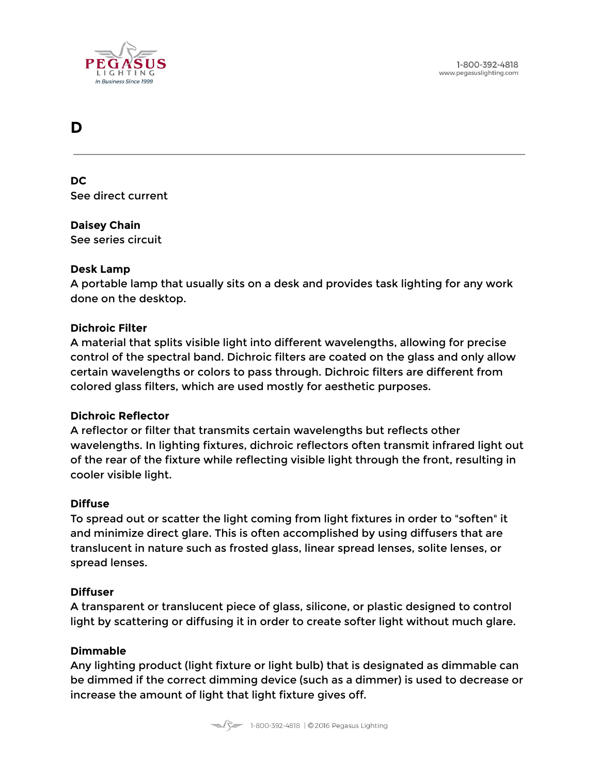

# <span id="page-13-0"></span>**D**

**DC** See direct current

# **Daisey Chain**

See series circuit

#### **Desk Lamp**

A portable lamp that usually sits on a desk and provides task lighting for any work done on the desktop.

#### **Dichroic Filter**

A material that splits visible light into different wavelengths, allowing for precise control of the spectral band. Dichroic filters are coated on the glass and only allow certain wavelengths or colors to pass through. Dichroic filters are different from colored glass filters, which are used mostly for aesthetic purposes.

#### **Dichroic Reflector**

A reflector or filter that transmits certain wavelengths but reflects other wavelengths. In lighting fixtures, dichroic reflectors often transmit infrared light out of the rear of the fixture while reflecting visible light through the front, resulting in cooler visible light.

#### **Diffuse**

To spread out or scatter the light coming from light fixtures in order to "soften" it and minimize direct glare. This is often accomplished by using diffusers that are translucent in nature such as frosted glass, linear spread lenses, solite lenses, or spread lenses.

#### **Diffuser**

A transparent or translucent piece of glass, silicone, or plastic designed to control light by scattering or diffusing it in order to create softer light without much glare.

#### **Dimmable**

Any lighting product (light fixture or light bulb) that is designated as dimmable can be dimmed if the correct dimming device (such as a dimmer) is used to decrease or increase the amount of light that light fixture gives off.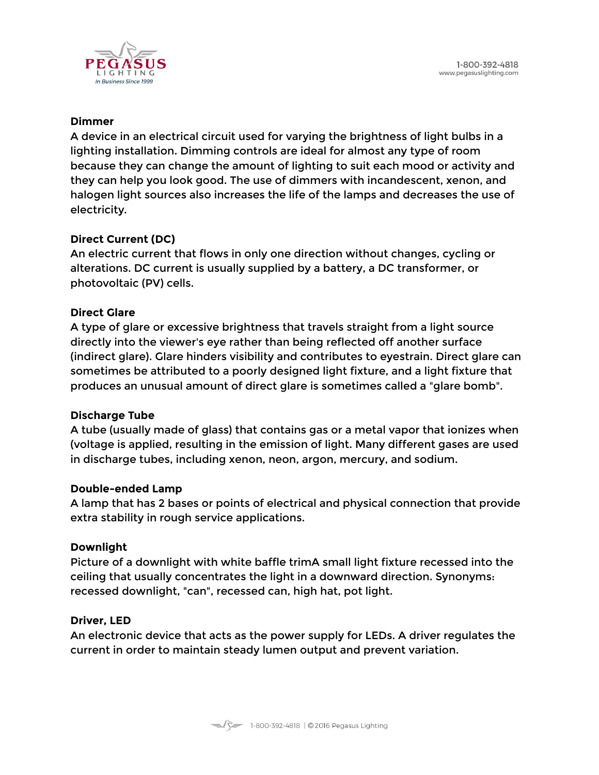

#### **Dimmer**

A device in an electrical circuit used for varying the brightness of light bulbs in a lighting installation. Dimming controls are ideal for almost any type of room because they can change the amount of lighting to suit each mood or activity and they can help you look good. The use of dimmers with incandescent, xenon, and halogen light sources also increases the life of the lamps and decreases the use of electricity.

#### **Direct Current (DC)**

An electric current that flows in only one direction without changes, cycling or alterations. DC current is usually supplied by a battery, a DC transformer, or photovoltaic (PV) cells.

#### **Direct Glare**

A type of glare or excessive brightness that travels straight from a light source directly into the viewer's eye rather than being reflected off another surface (indirect glare). Glare hinders visibility and contributes to eyestrain. Direct glare can sometimes be attributed to a poorly designed light fixture, and a light fixture that produces an unusual amount of direct glare is sometimes called a "glare bomb".

#### **Discharge Tube**

A tube (usually made of glass) that contains gas or a metal vapor that ionizes when (voltage is applied, resulting in the emission of light. Many different gases are used in discharge tubes, including xenon, neon, argon, mercury, and sodium.

#### **Double-ended Lamp**

A lamp that has 2 bases or points of electrical and physical connection that provide extra stability in rough service applications.

#### **Downlight**

Picture of a downlight with white baffle trimA small light fixture recessed into the ceiling that usually concentrates the light in a downward direction. Synonyms: recessed downlight, "can", recessed can, high hat, pot light.

#### **Driver, LED**

An electronic device that acts as the power supply for LEDs. A driver regulates the current in order to maintain steady lumen output and prevent variation.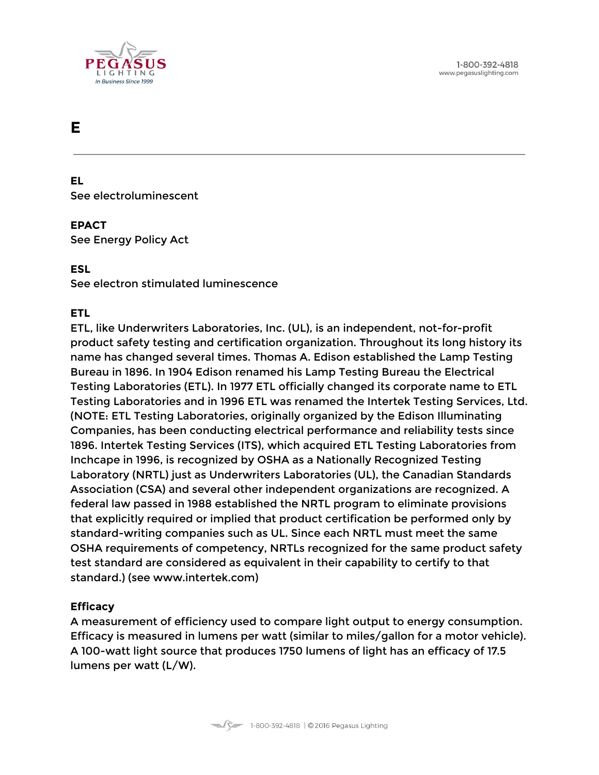

# <span id="page-15-0"></span>**E**

**EL** See electroluminescent

#### **EPACT**

See Energy Policy Act

#### **ESL**

See electron stimulated luminescence

#### **ETL**

ETL, like Underwriters Laboratories, Inc. (UL), is an independent, not-for-profit product safety testing and certification organization. Throughout its long history its name has changed several times. Thomas A. Edison established the Lamp Testing Bureau in 1896. In 1904 Edison renamed his Lamp Testing Bureau the Electrical Testing Laboratories (ETL). In 1977 ETL officially changed its corporate name to ETL Testing Laboratories and in 1996 ETL was renamed the Intertek Testing Services, Ltd. (NOTE: ETL Testing Laboratories, originally organized by the Edison Illuminating Companies, has been conducting electrical performance and reliability tests since 1896. Intertek Testing Services (ITS), which acquired ETL Testing Laboratories from Inchcape in 1996, is recognized by OSHA as a Nationally Recognized Testing Laboratory (NRTL) just as Underwriters Laboratories (UL), the Canadian Standards Association (CSA) and several other independent organizations are recognized. A federal law passed in 1988 established the NRTL program to eliminate provisions that explicitly required or implied that product certification be performed only by standard-writing companies such as UL. Since each NRTL must meet the same OSHA requirements of competency, NRTLs recognized for the same product safety test standard are considered as equivalent in their capability to certify to that standard.) (see www.intertek.com)

#### **Efficacy**

A measurement of efficiency used to compare light output to energy consumption. Efficacy is measured in lumens per watt (similar to miles/gallon for a motor vehicle). A 100-watt light source that produces 1750 lumens of light has an efficacy of 17.5 lumens per watt (L/W).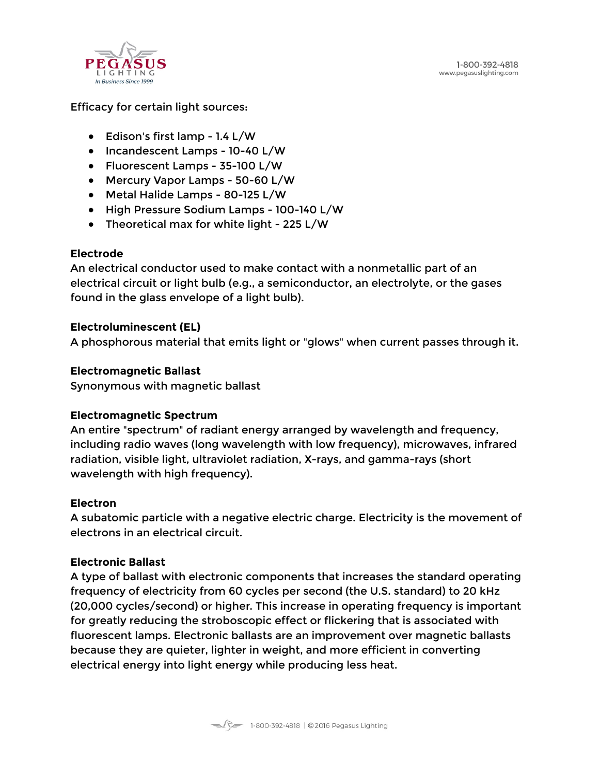

Efficacy for certain light sources:

- $\bullet$  Edison's first lamp 1.4 L/W
- Incandescent Lamps 10-40 L/W
- Fluorescent Lamps 35-100 L/W
- Mercury Vapor Lamps 50-60 L/W
- Metal Halide Lamps 80-125 L/W
- High Pressure Sodium Lamps 100-140 L/W
- Theoretical max for white light 225 L/W

#### **Electrode**

An electrical conductor used to make contact with a nonmetallic part of an electrical circuit or light bulb (e.g., a semiconductor, an electrolyte, or the gases found in the glass envelope of a light bulb).

#### **Electroluminescent (EL)**

A phosphorous material that emits light or "glows" when current passes through it.

#### **Electromagnetic Ballast**

Synonymous with magnetic ballast

#### **Electromagnetic Spectrum**

An entire "spectrum" of radiant energy arranged by wavelength and frequency, including radio waves (long wavelength with low frequency), microwaves, infrared radiation, visible light, ultraviolet radiation, X-rays, and gamma-rays (short wavelength with high frequency).

#### **Electron**

A subatomic particle with a negative electric charge. Electricity is the movement of electrons in an electrical circuit.

#### **Electronic Ballast**

A type of ballast with electronic components that increases the standard operating frequency of electricity from 60 cycles per second (the U.S. standard) to 20 kHz (20,000 cycles/second) or higher. This increase in operating frequency is important for greatly reducing the stroboscopic effect or flickering that is associated with fluorescent lamps. Electronic ballasts are an improvement over magnetic ballasts because they are quieter, lighter in weight, and more efficient in converting electrical energy into light energy while producing less heat.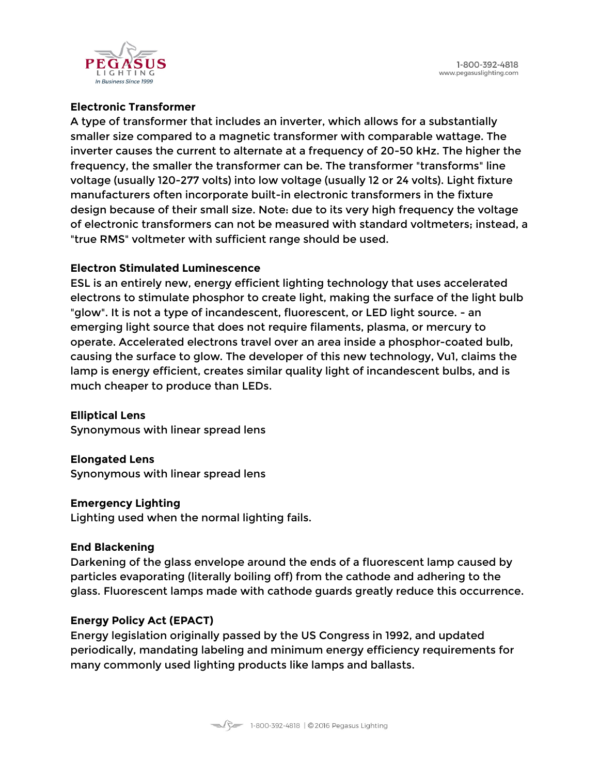1-800-392-4818 www.pegasuslighting.com



#### **Electronic Transformer**

A type of transformer that includes an inverter, which allows for a substantially smaller size compared to a magnetic transformer with comparable wattage. The inverter causes the current to alternate at a frequency of 20-50 kHz. The higher the frequency, the smaller the transformer can be. The transformer "transforms" line voltage (usually 120-277 volts) into low voltage (usually 12 or 24 volts). Light fixture manufacturers often incorporate built-in electronic transformers in the fixture design because of their small size. Note: due to its very high frequency the voltage of electronic transformers can not be measured with standard voltmeters; instead, a "true RMS" voltmeter with sufficient range should be used.

#### **Electron Stimulated Luminescence**

ESL is an entirely new, energy efficient lighting technology that uses accelerated electrons to stimulate phosphor to create light, making the surface of the light bulb "glow". It is not a type of incandescent, fluorescent, or LED light source. - an emerging light source that does not require filaments, plasma, or mercury to operate. Accelerated electrons travel over an area inside a phosphor-coated bulb, causing the surface to glow. The developer of this new technology, Vu1, claims the lamp is energy efficient, creates similar quality light of incandescent bulbs, and is much cheaper to produce than LEDs.

**Elliptical Lens** Synonymous with linear spread lens

**Elongated Lens** Synonymous with linear spread lens

#### **Emergency Lighting**

Lighting used when the normal lighting fails.

#### **End Blackening**

Darkening of the glass envelope around the ends of a fluorescent lamp caused by particles evaporating (literally boiling off) from the cathode and adhering to the glass. Fluorescent lamps made with cathode guards greatly reduce this occurrence.

#### **Energy Policy Act (EPACT)**

Energy legislation originally passed by the US Congress in 1992, and updated periodically, mandating labeling and minimum energy efficiency requirements for many commonly used lighting products like lamps and ballasts.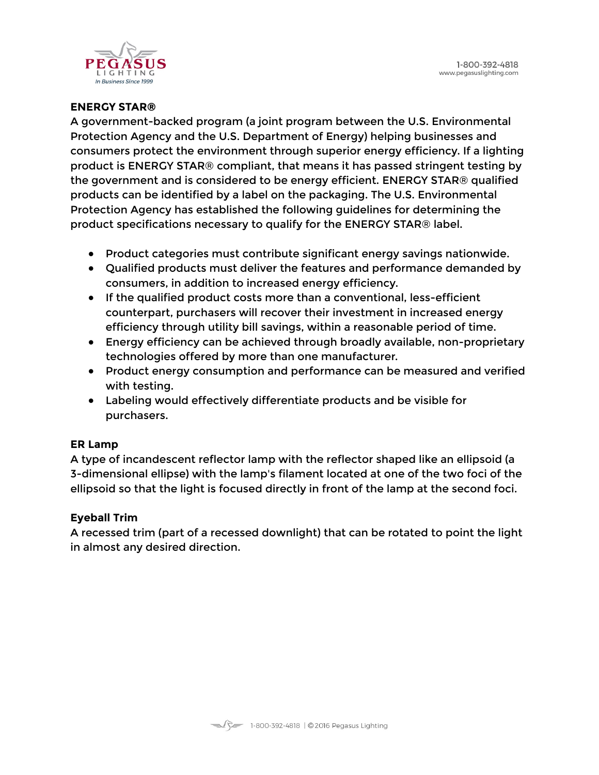

### **ENERGY STAR®**

A government-backed program (a joint program between the U.S. Environmental Protection Agency and the U.S. Department of Energy) helping businesses and consumers protect the environment through superior energy efficiency. If a lighting product is ENERGY STAR® compliant, that means it has passed stringent testing by the government and is considered to be energy efficient. ENERGY STAR® qualified products can be identified by a label on the packaging. The U.S. Environmental Protection Agency has established the following guidelines for determining the product specifications necessary to qualify for the ENERGY STAR® label.

- Product categories must contribute significant energy savings nationwide.
- Qualified products must deliver the features and performance demanded by consumers, in addition to increased energy efficiency.
- If the qualified product costs more than a conventional, less-efficient counterpart, purchasers will recover their investment in increased energy efficiency through utility bill savings, within a reasonable period of time.
- Energy efficiency can be achieved through broadly available, non-proprietary technologies offered by more than one manufacturer.
- Product energy consumption and performance can be measured and verified with testing.
- Labeling would effectively differentiate products and be visible for purchasers.

#### **ER Lamp**

A type of incandescent reflector lamp with the reflector shaped like an ellipsoid (a 3-dimensional ellipse) with the lamp's filament located at one of the two foci of the ellipsoid so that the light is focused directly in front of the lamp at the second foci.

#### **Eyeball Trim**

A recessed trim (part of a recessed downlight) that can be rotated to point the light in almost any desired direction.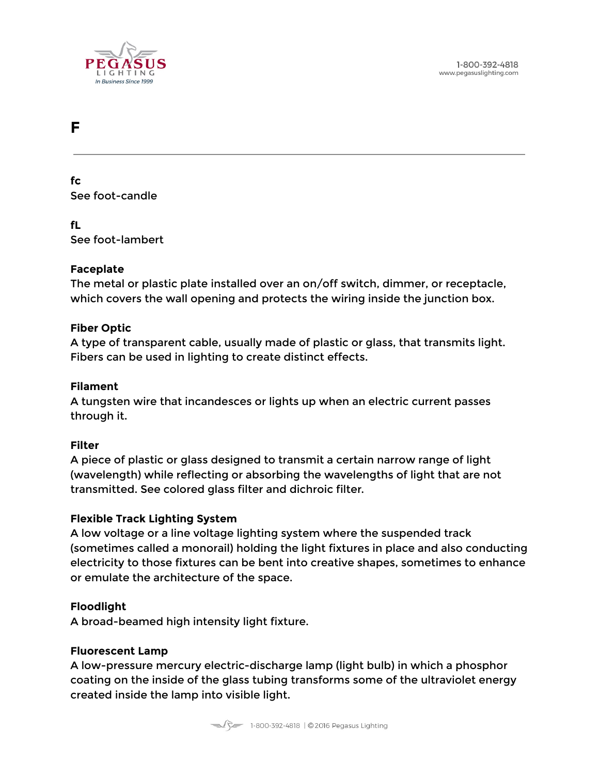

# <span id="page-19-0"></span>**F**

**fc** See foot-candle

**fL** See foot-lambert

#### **Faceplate**

The metal or plastic plate installed over an on/off switch, dimmer, or receptacle, which covers the wall opening and protects the wiring inside the junction box.

#### **Fiber Optic**

A type of transparent cable, usually made of plastic or glass, that transmits light. Fibers can be used in lighting to create distinct effects.

#### **Filament**

A tungsten wire that incandesces or lights up when an electric current passes through it.

#### **Filter**

A piece of plastic or glass designed to transmit a certain narrow range of light (wavelength) while reflecting or absorbing the wavelengths of light that are not transmitted. See colored glass filter and dichroic filter.

#### **Flexible Track Lighting System**

A low voltage or a line voltage lighting system where the suspended track (sometimes called a monorail) holding the light fixtures in place and also conducting electricity to those fixtures can be bent into creative shapes, sometimes to enhance or emulate the architecture of the space.

#### **Floodlight**

A broad-beamed high intensity light fixture.

#### **Fluorescent Lamp**

A low-pressure mercury electric-discharge lamp (light bulb) in which a phosphor coating on the inside of the glass tubing transforms some of the ultraviolet energy created inside the lamp into visible light.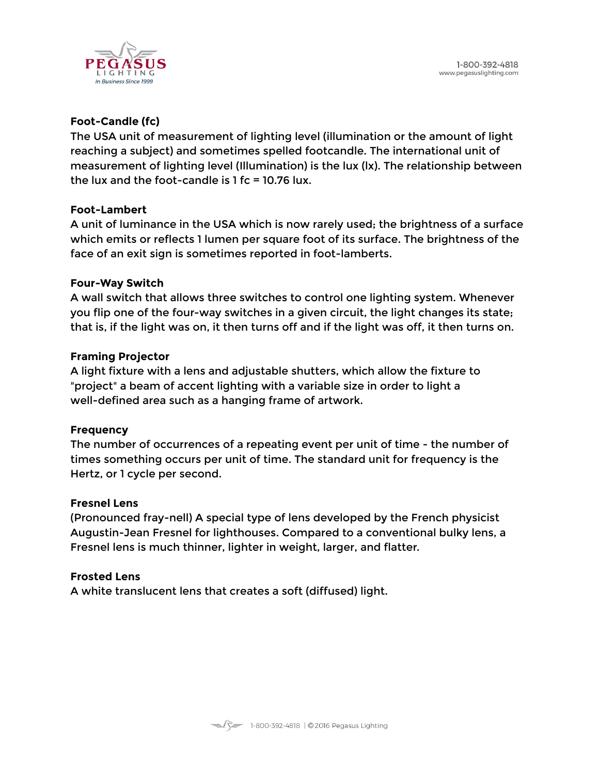

# **Foot-Candle (fc)**

The USA unit of measurement of lighting level (illumination or the amount of light reaching a subject) and sometimes spelled footcandle. The international unit of measurement of lighting level (Illumination) is the lux (lx). The relationship between the lux and the foot-candle is  $1$  fc = 10.76 lux.

#### **Foot-Lambert**

A unit of luminance in the USA which is now rarely used; the brightness of a surface which emits or reflects 1 lumen per square foot of its surface. The brightness of the face of an exit sign is sometimes reported in foot-lamberts.

#### **Four-Way Switch**

A wall switch that allows three switches to control one lighting system. Whenever you flip one of the four-way switches in a given circuit, the light changes its state; that is, if the light was on, it then turns off and if the light was off, it then turns on.

#### **Framing Projector**

A light fixture with a lens and adjustable shutters, which allow the fixture to "project" a beam of accent lighting with a variable size in order to light a well-defined area such as a hanging frame of artwork.

#### **Frequency**

The number of occurrences of a repeating event per unit of time - the number of times something occurs per unit of time. The standard unit for frequency is the Hertz, or 1 cycle per second.

#### **Fresnel Lens**

(Pronounced fray-nell) A special type of lens developed by the French physicist Augustin-Jean Fresnel for lighthouses. Compared to a conventional bulky lens, a Fresnel lens is much thinner, lighter in weight, larger, and flatter.

#### **Frosted Lens**

A white translucent lens that creates a soft (diffused) light.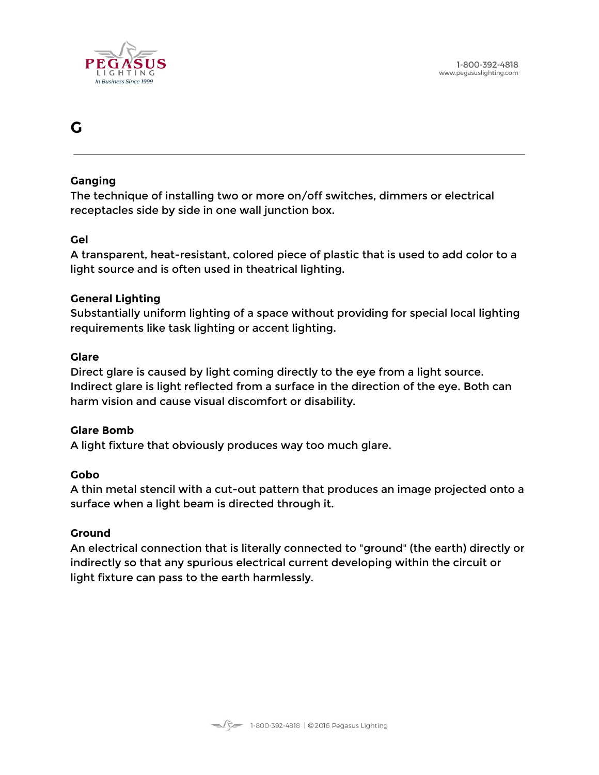

# <span id="page-21-0"></span>**G**

#### **Ganging**

The technique of installing two or more on/off switches, dimmers or electrical receptacles side by side in one wall junction box.

# **Gel**

A transparent, heat-resistant, colored piece of plastic that is used to add color to a light source and is often used in theatrical lighting.

# **General Lighting**

Substantially uniform lighting of a space without providing for special local lighting requirements like task lighting or accent lighting.

#### **Glare**

Direct glare is caused by light coming directly to the eye from a light source. Indirect glare is light reflected from a surface in the direction of the eye. Both can harm vision and cause visual discomfort or disability.

#### **Glare Bomb**

A light fixture that obviously produces way too much glare.

# **Gobo**

A thin metal stencil with a cut-out pattern that produces an image projected onto a surface when a light beam is directed through it.

#### **Ground**

An electrical connection that is literally connected to "ground" (the earth) directly or indirectly so that any spurious electrical current developing within the circuit or light fixture can pass to the earth harmlessly.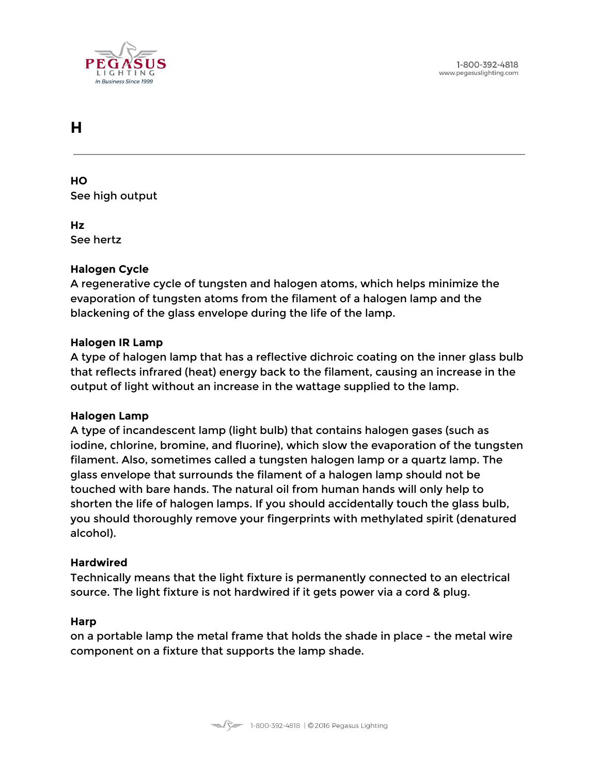

# <span id="page-22-0"></span>**H**

**HO** See high output

**Hz** See hertz

# **Halogen Cycle**

A regenerative cycle of tungsten and halogen atoms, which helps minimize the evaporation of tungsten atoms from the filament of a halogen lamp and the blackening of the glass envelope during the life of the lamp.

#### **Halogen IR Lamp**

A type of halogen lamp that has a reflective dichroic coating on the inner glass bulb that reflects infrared (heat) energy back to the filament, causing an increase in the output of light without an increase in the wattage supplied to the lamp.

#### **Halogen Lamp**

A type of incandescent lamp (light bulb) that contains halogen gases (such as iodine, chlorine, bromine, and fluorine), which slow the evaporation of the tungsten filament. Also, sometimes called a tungsten halogen lamp or a quartz lamp. The glass envelope that surrounds the filament of a halogen lamp should not be touched with bare hands. The natural oil from human hands will only help to shorten the life of halogen lamps. If you should accidentally touch the glass bulb, you should thoroughly remove your fingerprints with methylated spirit (denatured alcohol).

#### **Hardwired**

Technically means that the light fixture is permanently connected to an electrical source. The light fixture is not hardwired if it gets power via a cord & plug.

#### **Harp**

on a portable lamp the metal frame that holds the shade in place - the metal wire component on a fixture that supports the lamp shade.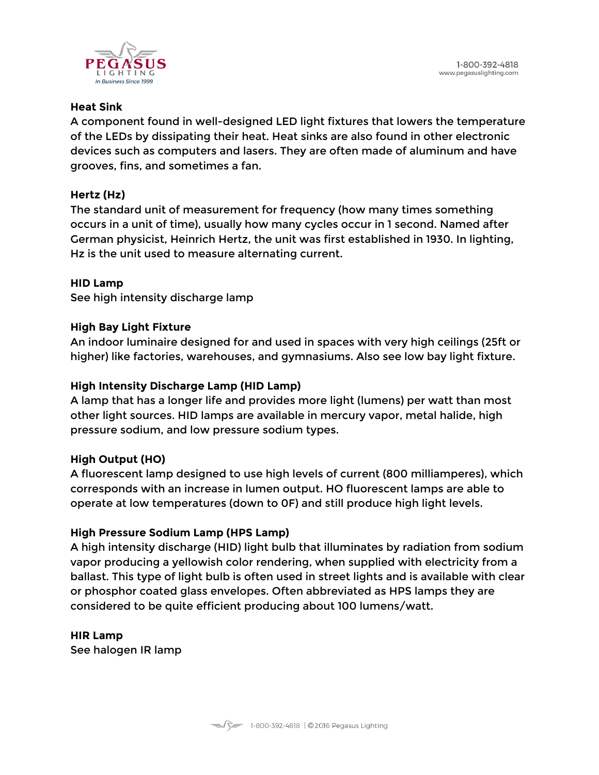

#### **Heat Sink**

A component found in well-designed LED light fixtures that lowers the temperature of the LEDs by dissipating their heat. Heat sinks are also found in other electronic devices such as computers and lasers. They are often made of aluminum and have grooves, fins, and sometimes a fan.

# **Hertz (Hz)**

The standard unit of measurement for frequency (how many times something occurs in a unit of time), usually how many cycles occur in 1 second. Named after German physicist, Heinrich Hertz, the unit was first established in 1930. In lighting, Hz is the unit used to measure alternating current.

#### **HID Lamp**

See high intensity discharge lamp

# **High Bay Light Fixture**

An indoor luminaire designed for and used in spaces with very high ceilings (25ft or higher) like factories, warehouses, and gymnasiums. Also see low bay light fixture.

# **High Intensity Discharge Lamp (HID Lamp)**

A lamp that has a longer life and provides more light (lumens) per watt than most other light sources. HID lamps are available in mercury vapor, metal halide, high pressure sodium, and low pressure sodium types.

#### **High Output (HO)**

A fluorescent lamp designed to use high levels of current (800 milliamperes), which corresponds with an increase in lumen output. HO fluorescent lamps are able to operate at low temperatures (down to 0F) and still produce high light levels.

#### **High Pressure Sodium Lamp (HPS Lamp)**

A high intensity discharge (HID) light bulb that illuminates by radiation from sodium vapor producing a yellowish color rendering, when supplied with electricity from a ballast. This type of light bulb is often used in street lights and is available with clear or phosphor coated glass envelopes. Often abbreviated as HPS lamps they are considered to be quite efficient producing about 100 lumens/watt.

**HIR Lamp** See halogen IR lamp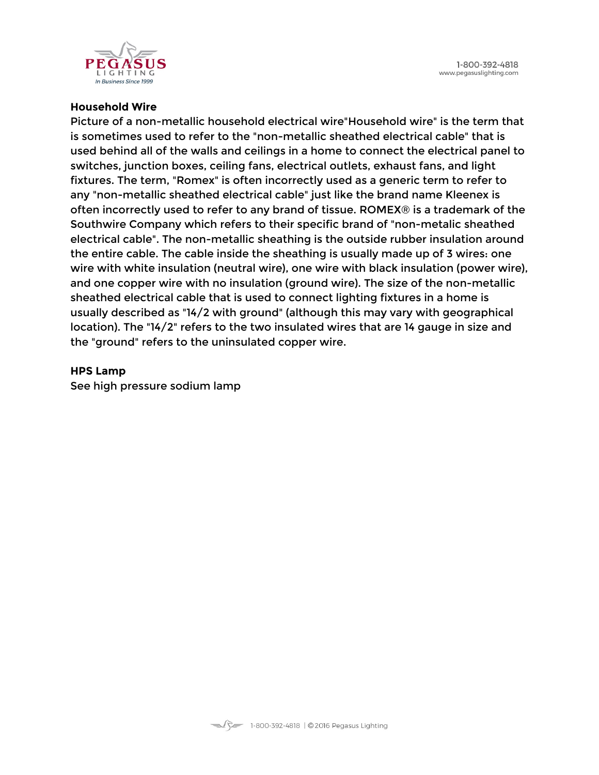1-800-392-4818 www.pegasuslighting.com



#### **Household Wire**

Picture of a non-metallic household electrical wire"Household wire" is the term that is sometimes used to refer to the "non-metallic sheathed electrical cable" that is used behind all of the walls and ceilings in a home to connect the electrical panel to switches, junction boxes, ceiling fans, electrical outlets, exhaust fans, and light fixtures. The term, "Romex" is often incorrectly used as a generic term to refer to any "non-metallic sheathed electrical cable" just like the brand name Kleenex is often incorrectly used to refer to any brand of tissue. ROMEX® is a trademark of the Southwire Company which refers to their specific brand of "non-metalic sheathed electrical cable". The non-metallic sheathing is the outside rubber insulation around the entire cable. The cable inside the sheathing is usually made up of 3 wires: one wire with white insulation (neutral wire), one wire with black insulation (power wire), and one copper wire with no insulation (ground wire). The size of the non-metallic sheathed electrical cable that is used to connect lighting fixtures in a home is usually described as "14/2 with ground" (although this may vary with geographical location). The "14/2" refers to the two insulated wires that are 14 gauge in size and the "ground" refers to the uninsulated copper wire.

#### **HPS Lamp**

See high pressure sodium lamp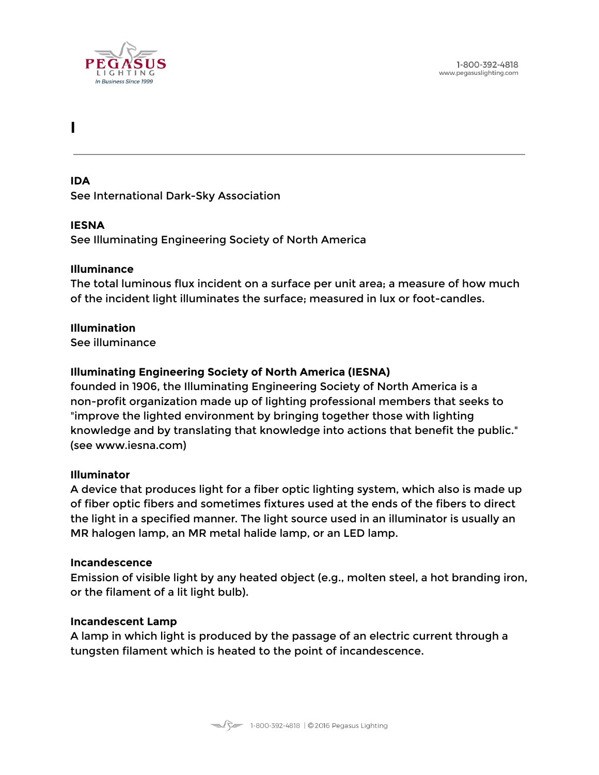

# <span id="page-25-0"></span>**I**

#### **IDA**

See International Dark-Sky Association

#### **IESNA**

See Illuminating Engineering Society of North America

#### **Illuminance**

The total luminous flux incident on a surface per unit area; a measure of how much of the incident light illuminates the surface; measured in lux or foot-candles.

#### **Illumination**

See illuminance

# **Illuminating Engineering Society of North America (IESNA)**

founded in 1906, the Illuminating Engineering Society of North America is a non-profit organization made up of lighting professional members that seeks to "improve the lighted environment by bringing together those with lighting knowledge and by translating that knowledge into actions that benefit the public." (see www.iesna.com)

#### **Illuminator**

A device that produces light for a fiber optic lighting system, which also is made up of fiber optic fibers and sometimes fixtures used at the ends of the fibers to direct the light in a specified manner. The light source used in an illuminator is usually an MR halogen lamp, an MR metal halide lamp, or an LED lamp.

#### **Incandescence**

Emission of visible light by any heated object (e.g., molten steel, a hot branding iron, or the filament of a lit light bulb).

#### **Incandescent Lamp**

A lamp in which light is produced by the passage of an electric current through a tungsten filament which is heated to the point of incandescence.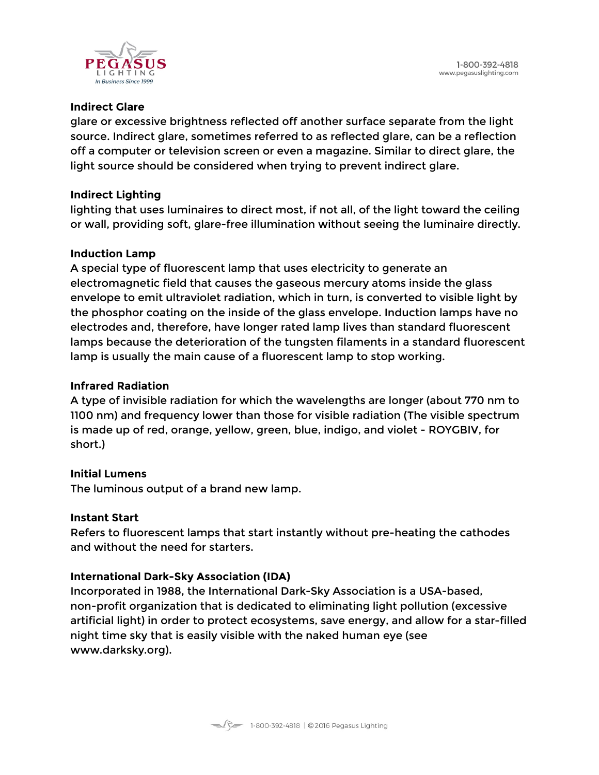

### **Indirect Glare**

glare or excessive brightness reflected off another surface separate from the light source. Indirect glare, sometimes referred to as reflected glare, can be a reflection off a computer or television screen or even a magazine. Similar to direct glare, the light source should be considered when trying to prevent indirect glare.

# **Indirect Lighting**

lighting that uses luminaires to direct most, if not all, of the light toward the ceiling or wall, providing soft, glare-free illumination without seeing the luminaire directly.

# **Induction Lamp**

A special type of fluorescent lamp that uses electricity to generate an electromagnetic field that causes the gaseous mercury atoms inside the glass envelope to emit ultraviolet radiation, which in turn, is converted to visible light by the phosphor coating on the inside of the glass envelope. Induction lamps have no electrodes and, therefore, have longer rated lamp lives than standard fluorescent lamps because the deterioration of the tungsten filaments in a standard fluorescent lamp is usually the main cause of a fluorescent lamp to stop working.

### **Infrared Radiation**

A type of invisible radiation for which the wavelengths are longer (about 770 nm to 1100 nm) and frequency lower than those for visible radiation (The visible spectrum is made up of red, orange, yellow, green, blue, indigo, and violet - ROYGBIV, for short.)

# **Initial Lumens**

The luminous output of a brand new lamp.

#### **Instant Start**

Refers to fluorescent lamps that start instantly without pre-heating the cathodes and without the need for starters.

# **International Dark-Sky Association (IDA)**

Incorporated in 1988, the International Dark-Sky Association is a USA-based, non-profit organization that is dedicated to eliminating light pollution (excessive artificial light) in order to protect ecosystems, save energy, and allow for a star-filled night time sky that is easily visible with the naked human eye (see www.darksky.org).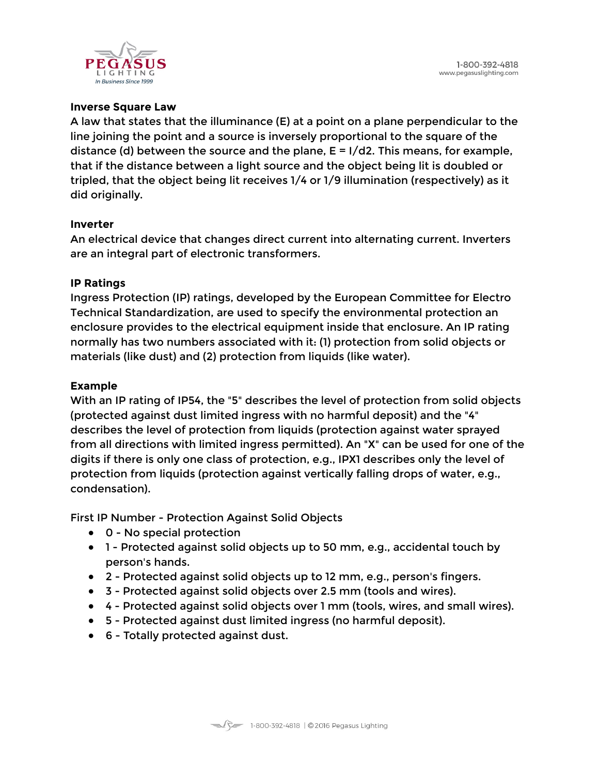

### **Inverse Square Law**

A law that states that the illuminance (E) at a point on a plane perpendicular to the line joining the point and a source is inversely proportional to the square of the distance (d) between the source and the plane,  $E = I/d2$ . This means, for example, that if the distance between a light source and the object being lit is doubled or tripled, that the object being lit receives 1/4 or 1/9 illumination (respectively) as it did originally.

#### **Inverter**

An electrical device that changes direct current into alternating current. Inverters are an integral part of electronic transformers.

#### **IP Ratings**

Ingress Protection (IP) ratings, developed by the European Committee for Electro Technical Standardization, are used to specify the environmental protection an enclosure provides to the electrical equipment inside that enclosure. An IP rating normally has two numbers associated with it: (1) protection from solid objects or materials (like dust) and (2) protection from liquids (like water).

#### **Example**

With an IP rating of IP54, the "5" describes the level of protection from solid objects (protected against dust limited ingress with no harmful deposit) and the "4" describes the level of protection from liquids (protection against water sprayed from all directions with limited ingress permitted). An "X" can be used for one of the digits if there is only one class of protection, e.g., IPX1 describes only the level of protection from liquids (protection against vertically falling drops of water, e.g., condensation).

First IP Number - Protection Against Solid Objects

- 0 No special protection
- 1 Protected against solid objects up to 50 mm, e.g., accidental touch by person's hands.
- 2 Protected against solid objects up to 12 mm, e.g., person's fingers.
- 3 Protected against solid objects over 2.5 mm (tools and wires).
- 4 Protected against solid objects over 1 mm (tools, wires, and small wires).
- 5 Protected against dust limited ingress (no harmful deposit).
- 6 Totally protected against dust.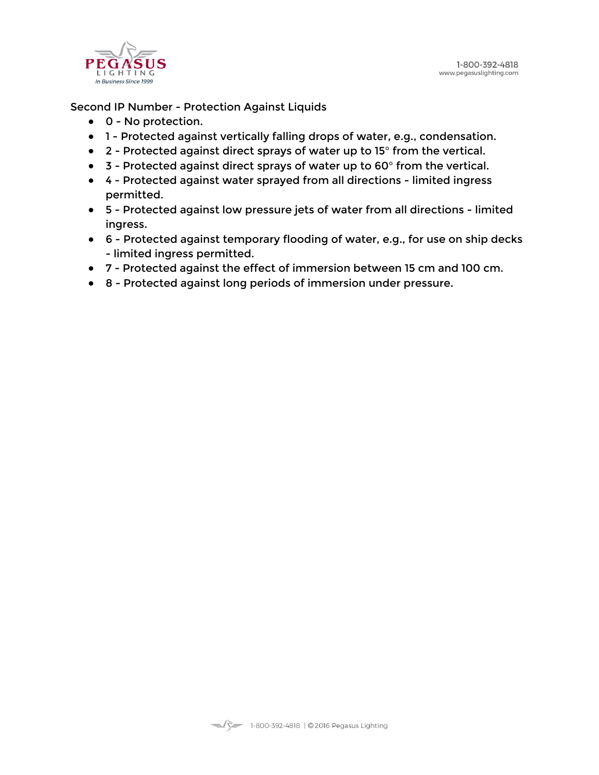

#### Second IP Number - Protection Against Liquids

- 0 No protection.
- 1 Protected against vertically falling drops of water, e.g., condensation.
- 2 Protected against direct sprays of water up to 15° from the vertical.
- 3 Protected against direct sprays of water up to 60° from the vertical.
- 4 Protected against water sprayed from all directions limited ingress permitted.
- 5 Protected against low pressure jets of water from all directions limited ingress.
- 6 Protected against temporary flooding of water, e.g., for use on ship decks - limited ingress permitted.
- 7 Protected against the effect of immersion between 15 cm and 100 cm.
- 8 Protected against long periods of immersion under pressure.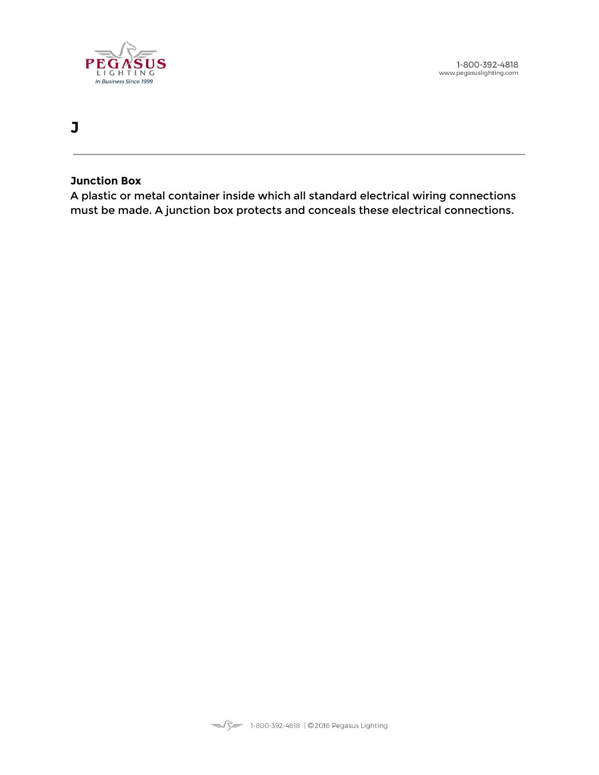

1-800-392-4818 www.pegasuslighting.com

# **J**

#### **Junction Box**

A plastic or metal container inside which all standard electrical wiring connections must be made. A junction box protects and conceals these electrical connections.

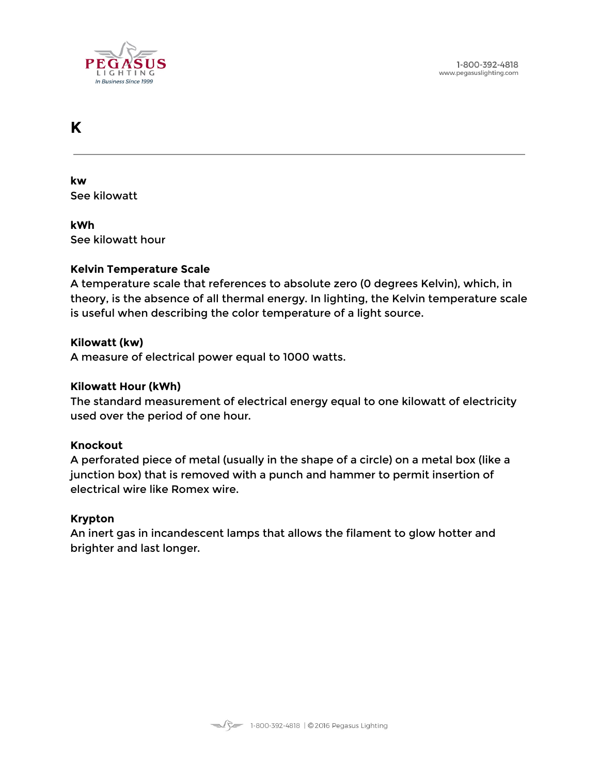

# <span id="page-30-0"></span>**K**

**kw** See kilowatt

**kWh** See kilowatt hour

#### **Kelvin Temperature Scale**

A temperature scale that references to absolute zero (0 degrees Kelvin), which, in theory, is the absence of all thermal energy. In lighting, the Kelvin temperature scale is useful when describing the color temperature of a light source.

#### **Kilowatt (kw)**

A measure of electrical power equal to 1000 watts.

#### **Kilowatt Hour (kWh)**

The standard measurement of electrical energy equal to one kilowatt of electricity used over the period of one hour.

#### **Knockout**

A perforated piece of metal (usually in the shape of a circle) on a metal box (like a junction box) that is removed with a punch and hammer to permit insertion of electrical wire like Romex wire.

#### **Krypton**

An inert gas in incandescent lamps that allows the filament to glow hotter and brighter and last longer.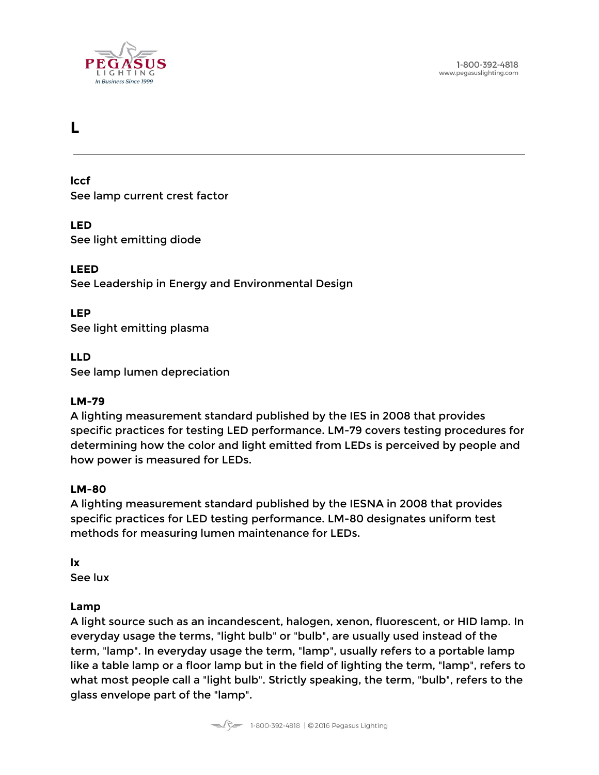

# <span id="page-31-0"></span>**L**

**lccf** See lamp current crest factor

**LED** See light emitting diode

**LEED** See Leadership in Energy and Environmental Design

**LEP** See light emitting plasma

**LLD** See lamp lumen depreciation

#### **LM-79**

A lighting measurement standard published by the IES in 2008 that provides specific practices for testing LED performance. LM-79 covers testing procedures for determining how the color and light emitted from LEDs is perceived by people and how power is measured for LEDs.

#### **LM-80**

A lighting measurement standard published by the IESNA in 2008 that provides specific practices for LED testing performance. LM-80 designates uniform test methods for measuring lumen maintenance for LEDs.

**lx**

See lux

#### **Lamp**

A light source such as an incandescent, halogen, xenon, fluorescent, or HID lamp. In everyday usage the terms, "light bulb" or "bulb", are usually used instead of the term, "lamp". In everyday usage the term, "lamp", usually refers to a portable lamp like a table lamp or a floor lamp but in the field of lighting the term, "lamp", refers to what most people call a "light bulb". Strictly speaking, the term, "bulb", refers to the glass envelope part of the "lamp".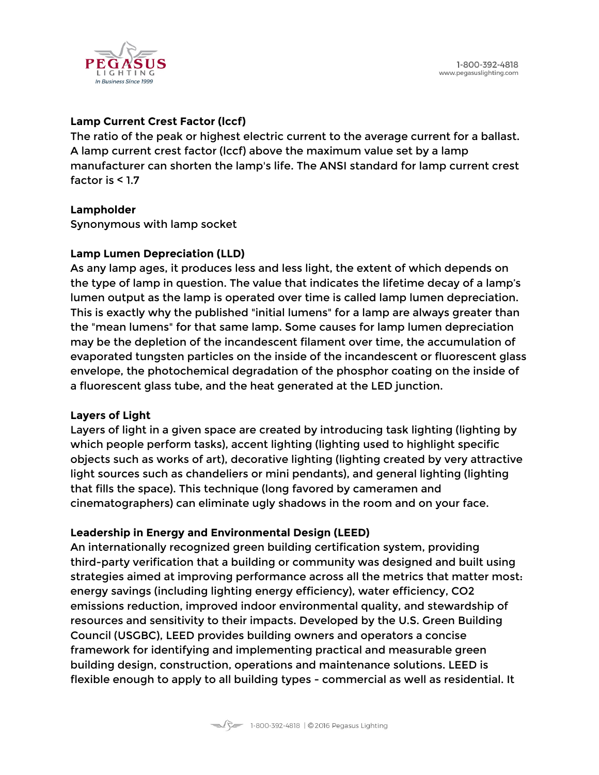

# **Lamp Current Crest Factor (lccf)**

The ratio of the peak or highest electric current to the average current for a ballast. A lamp current crest factor (lccf) above the maximum value set by a lamp manufacturer can shorten the lamp's life. The ANSI standard for lamp current crest factor is < 1.7

#### **Lampholder**

Synonymous with lamp socket

#### **Lamp Lumen Depreciation (LLD)**

As any lamp ages, it produces less and less light, the extent of which depends on the type of lamp in question. The value that indicates the lifetime decay of a lamp's lumen output as the lamp is operated over time is called lamp lumen depreciation. This is exactly why the published "initial lumens" for a lamp are always greater than the "mean lumens" for that same lamp. Some causes for lamp lumen depreciation may be the depletion of the incandescent filament over time, the accumulation of evaporated tungsten particles on the inside of the incandescent or fluorescent glass envelope, the photochemical degradation of the phosphor coating on the inside of a fluorescent glass tube, and the heat generated at the LED junction.

#### **Layers of Light**

Layers of light in a given space are created by introducing task lighting (lighting by which people perform tasks), accent lighting (lighting used to highlight specific objects such as works of art), decorative lighting (lighting created by very attractive light sources such as chandeliers or mini pendants), and general lighting (lighting that fills the space). This technique (long favored by cameramen and cinematographers) can eliminate ugly shadows in the room and on your face.

#### **Leadership in Energy and Environmental Design (LEED)**

An internationally recognized green building certification system, providing third-party verification that a building or community was designed and built using strategies aimed at improving performance across all the metrics that matter most: energy savings (including lighting energy efficiency), water efficiency, CO2 emissions reduction, improved indoor environmental quality, and stewardship of resources and sensitivity to their impacts. Developed by the U.S. Green Building Council (USGBC), LEED provides building owners and operators a concise framework for identifying and implementing practical and measurable green building design, construction, operations and maintenance solutions. LEED is flexible enough to apply to all building types - commercial as well as residential. It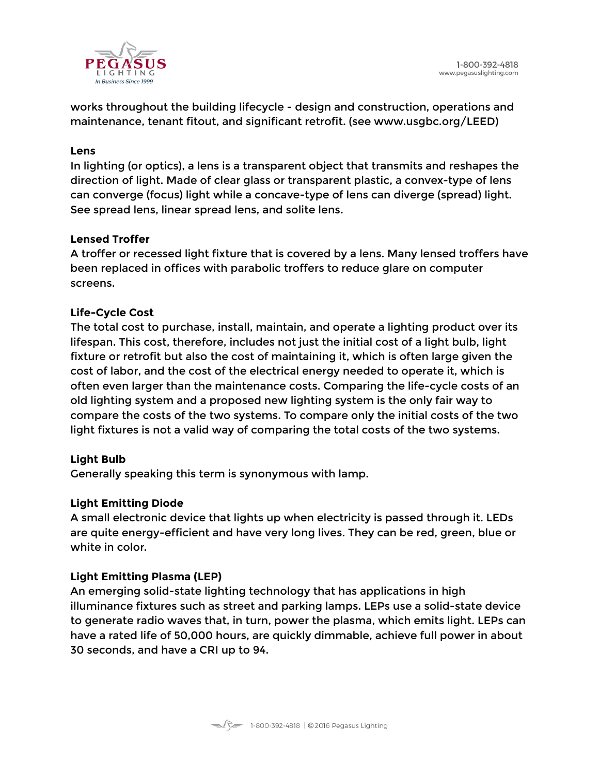

works throughout the building lifecycle - design and construction, operations and maintenance, tenant fitout, and significant retrofit. (see www.usgbc.org/LEED)

#### **Lens**

In lighting (or optics), a lens is a transparent object that transmits and reshapes the direction of light. Made of clear glass or transparent plastic, a convex-type of lens can converge (focus) light while a concave-type of lens can diverge (spread) light. See spread lens, linear spread lens, and solite lens.

#### **Lensed Troffer**

A troffer or recessed light fixture that is covered by a lens. Many lensed troffers have been replaced in offices with parabolic troffers to reduce glare on computer screens.

#### **Life-Cycle Cost**

The total cost to purchase, install, maintain, and operate a lighting product over its lifespan. This cost, therefore, includes not just the initial cost of a light bulb, light fixture or retrofit but also the cost of maintaining it, which is often large given the cost of labor, and the cost of the electrical energy needed to operate it, which is often even larger than the maintenance costs. Comparing the life-cycle costs of an old lighting system and a proposed new lighting system is the only fair way to compare the costs of the two systems. To compare only the initial costs of the two light fixtures is not a valid way of comparing the total costs of the two systems.

#### **Light Bulb**

Generally speaking this term is synonymous with lamp.

#### **Light Emitting Diode**

A small electronic device that lights up when electricity is passed through it. LEDs are quite energy-efficient and have very long lives. They can be red, green, blue or white in color.

#### **Light Emitting Plasma (LEP)**

An emerging solid-state lighting technology that has applications in high illuminance fixtures such as street and parking lamps. LEPs use a solid-state device to generate radio waves that, in turn, power the plasma, which emits light. LEPs can have a rated life of 50,000 hours, are quickly dimmable, achieve full power in about 30 seconds, and have a CRI up to 94.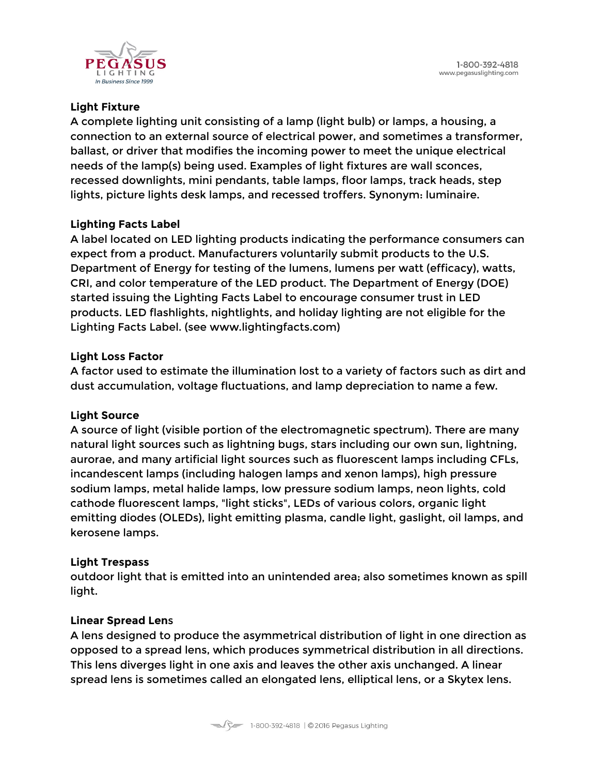

# **Light Fixture**

A complete lighting unit consisting of a lamp (light bulb) or lamps, a housing, a connection to an external source of electrical power, and sometimes a transformer, ballast, or driver that modifies the incoming power to meet the unique electrical needs of the lamp(s) being used. Examples of light fixtures are wall sconces, recessed downlights, mini pendants, table lamps, floor lamps, track heads, step lights, picture lights desk lamps, and recessed troffers. Synonym: luminaire.

# **Lighting Facts Label**

A label located on LED lighting products indicating the performance consumers can expect from a product. Manufacturers voluntarily submit products to the U.S. Department of Energy for testing of the lumens, lumens per watt (efficacy), watts, CRI, and color temperature of the LED product. The Department of Energy (DOE) started issuing the Lighting Facts Label to encourage consumer trust in LED products. LED flashlights, nightlights, and holiday lighting are not eligible for the Lighting Facts Label. (see www.lightingfacts.com)

#### **Light Loss Factor**

A factor used to estimate the illumination lost to a variety of factors such as dirt and dust accumulation, voltage fluctuations, and lamp depreciation to name a few.

#### **Light Source**

A source of light (visible portion of the electromagnetic spectrum). There are many natural light sources such as lightning bugs, stars including our own sun, lightning, aurorae, and many artificial light sources such as fluorescent lamps including CFLs, incandescent lamps (including halogen lamps and xenon lamps), high pressure sodium lamps, metal halide lamps, low pressure sodium lamps, neon lights, cold cathode fluorescent lamps, "light sticks", LEDs of various colors, organic light emitting diodes (OLEDs), light emitting plasma, candle light, gaslight, oil lamps, and kerosene lamps.

#### **Light Trespass**

outdoor light that is emitted into an unintended area; also sometimes known as spill light.

#### **Linear Spread Len**s

A lens designed to produce the asymmetrical distribution of light in one direction as opposed to a spread lens, which produces symmetrical distribution in all directions. This lens diverges light in one axis and leaves the other axis unchanged. A linear spread lens is sometimes called an elongated lens, elliptical lens, or a Skytex lens.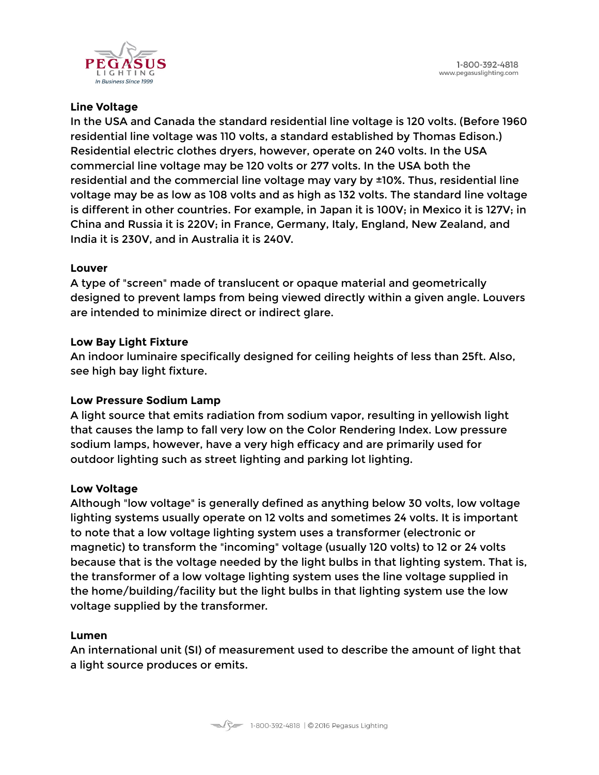

### **Line Voltage**

In the USA and Canada the standard residential line voltage is 120 volts. (Before 1960 residential line voltage was 110 volts, a standard established by Thomas Edison.) Residential electric clothes dryers, however, operate on 240 volts. In the USA commercial line voltage may be 120 volts or 277 volts. In the USA both the residential and the commercial line voltage may vary by ±10%. Thus, residential line voltage may be as low as 108 volts and as high as 132 volts. The standard line voltage is different in other countries. For example, in Japan it is 100V; in Mexico it is 127V; in China and Russia it is 220V; in France, Germany, Italy, England, New Zealand, and India it is 230V, and in Australia it is 240V.

#### **Louver**

A type of "screen" made of translucent or opaque material and geometrically designed to prevent lamps from being viewed directly within a given angle. Louvers are intended to minimize direct or indirect glare.

#### **Low Bay Light Fixture**

An indoor luminaire specifically designed for ceiling heights of less than 25ft. Also, see high bay light fixture.

#### **Low Pressure Sodium Lamp**

A light source that emits radiation from sodium vapor, resulting in yellowish light that causes the lamp to fall very low on the Color Rendering Index. Low pressure sodium lamps, however, have a very high efficacy and are primarily used for outdoor lighting such as street lighting and parking lot lighting.

#### **Low Voltage**

Although "low voltage" is generally defined as anything below 30 volts, low voltage lighting systems usually operate on 12 volts and sometimes 24 volts. It is important to note that a low voltage lighting system uses a transformer (electronic or magnetic) to transform the "incoming" voltage (usually 120 volts) to 12 or 24 volts because that is the voltage needed by the light bulbs in that lighting system. That is, the transformer of a low voltage lighting system uses the line voltage supplied in the home/building/facility but the light bulbs in that lighting system use the low voltage supplied by the transformer.

#### **Lumen**

An international unit (SI) of measurement used to describe the amount of light that a light source produces or emits.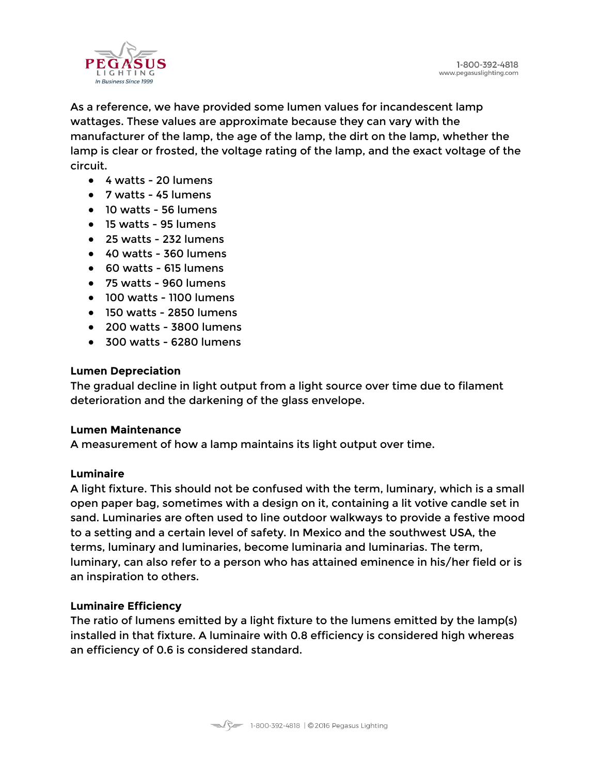

As a reference, we have provided some lumen values for incandescent lamp wattages. These values are approximate because they can vary with the manufacturer of the lamp, the age of the lamp, the dirt on the lamp, whether the lamp is clear or frosted, the voltage rating of the lamp, and the exact voltage of the circuit.

- 4 watts 20 lumens
- 7 watts 45 lumens
- 10 watts 56 lumens
- 15 watts 95 lumens
- 25 watts 232 lumens
- 40 watts 360 lumens
- 60 watts 615 lumens
- 75 watts 960 lumens
- 100 watts 1100 lumens
- 150 watts 2850 lumens
- 200 watts 3800 lumens
- 300 watts 6280 lumens

#### **Lumen Depreciation**

The gradual decline in light output from a light source over time due to filament deterioration and the darkening of the glass envelope.

#### **Lumen Maintenance**

A measurement of how a lamp maintains its light output over time.

#### **Luminaire**

A light fixture. This should not be confused with the term, luminary, which is a small open paper bag, sometimes with a design on it, containing a lit votive candle set in sand. Luminaries are often used to line outdoor walkways to provide a festive mood to a setting and a certain level of safety. In Mexico and the southwest USA, the terms, luminary and luminaries, become luminaria and luminarias. The term, luminary, can also refer to a person who has attained eminence in his/her field or is an inspiration to others.

#### **Luminaire Efficiency**

The ratio of lumens emitted by a light fixture to the lumens emitted by the lamp(s) installed in that fixture. A luminaire with 0.8 efficiency is considered high whereas an efficiency of 0.6 is considered standard.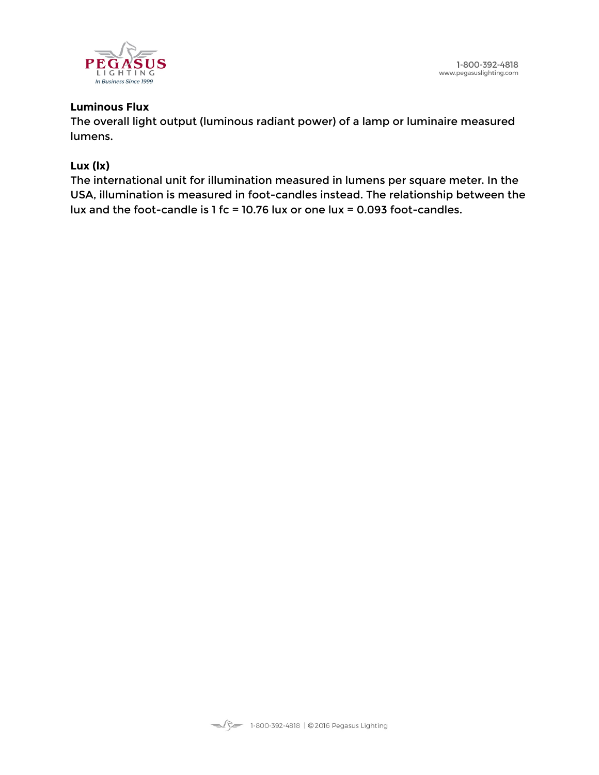

#### **Luminous Flux**

The overall light output (luminous radiant power) of a lamp or luminaire measured lumens.

#### **Lux (lx)**

The international unit for illumination measured in lumens per square meter. In the USA, illumination is measured in foot-candles instead. The relationship between the lux and the foot-candle is 1 fc = 10.76 lux or one lux = 0.093 foot-candles.

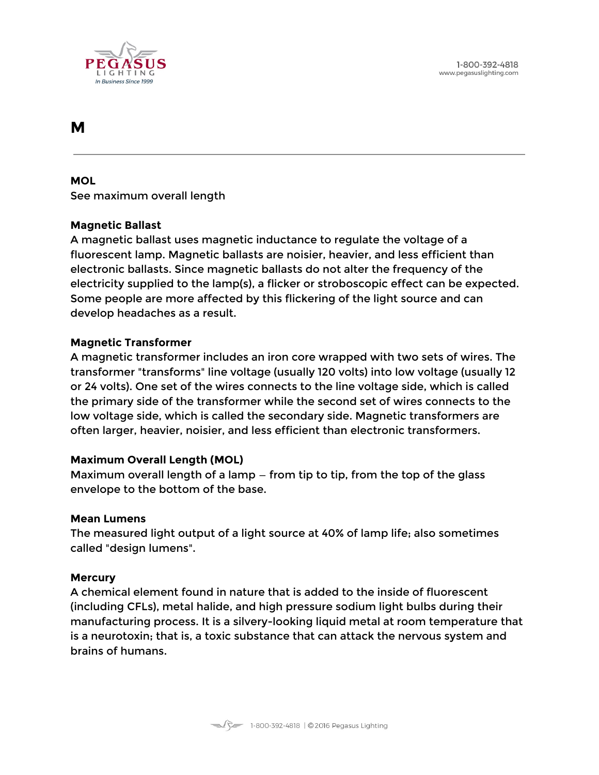

# <span id="page-38-0"></span>**M**

#### **MOL**

See maximum overall length

#### **Magnetic Ballast**

A magnetic ballast uses magnetic inductance to regulate the voltage of a fluorescent lamp. Magnetic ballasts are noisier, heavier, and less efficient than electronic ballasts. Since magnetic ballasts do not alter the frequency of the electricity supplied to the lamp(s), a flicker or stroboscopic effect can be expected. Some people are more affected by this flickering of the light source and can develop headaches as a result.

#### **Magnetic Transformer**

A magnetic transformer includes an iron core wrapped with two sets of wires. The transformer "transforms" line voltage (usually 120 volts) into low voltage (usually 12 or 24 volts). One set of the wires connects to the line voltage side, which is called the primary side of the transformer while the second set of wires connects to the low voltage side, which is called the secondary side. Magnetic transformers are often larger, heavier, noisier, and less efficient than electronic transformers.

#### **Maximum Overall Length (MOL)**

Maximum overall length of a lamp — from tip to tip, from the top of the glass envelope to the bottom of the base.

#### **Mean Lumens**

The measured light output of a light source at 40% of lamp life; also sometimes called "design lumens".

#### **Mercury**

A chemical element found in nature that is added to the inside of fluorescent (including CFLs), metal halide, and high pressure sodium light bulbs during their manufacturing process. It is a silvery-looking liquid metal at room temperature that is a neurotoxin; that is, a toxic substance that can attack the nervous system and brains of humans.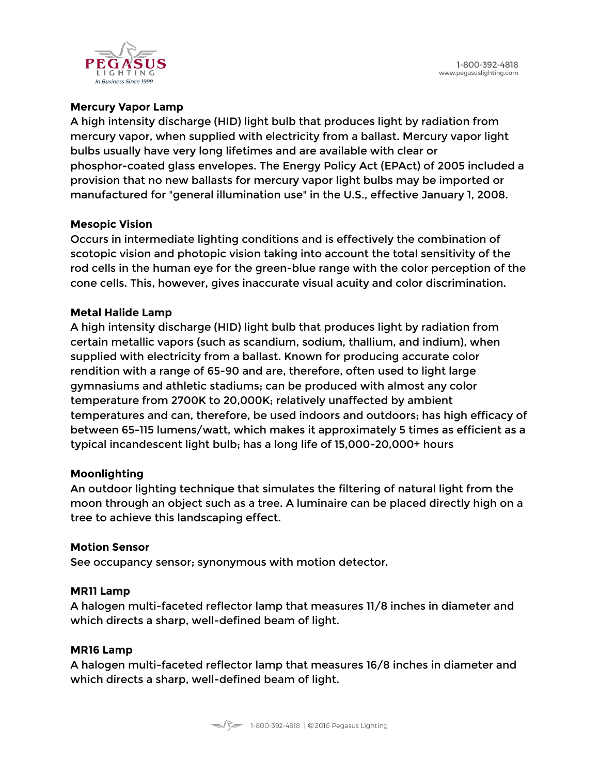

### **Mercury Vapor Lamp**

A high intensity discharge (HID) light bulb that produces light by radiation from mercury vapor, when supplied with electricity from a ballast. Mercury vapor light bulbs usually have very long lifetimes and are available with clear or phosphor-coated glass envelopes. The Energy Policy Act (EPAct) of 2005 included a provision that no new ballasts for mercury vapor light bulbs may be imported or manufactured for "general illumination use" in the U.S., effective January 1, 2008.

#### **Mesopic Vision**

Occurs in intermediate lighting conditions and is effectively the combination of scotopic vision and photopic vision taking into account the total sensitivity of the rod cells in the human eye for the green-blue range with the color perception of the cone cells. This, however, gives inaccurate visual acuity and color discrimination.

#### **Metal Halide Lamp**

A high intensity discharge (HID) light bulb that produces light by radiation from certain metallic vapors (such as scandium, sodium, thallium, and indium), when supplied with electricity from a ballast. Known for producing accurate color rendition with a range of 65-90 and are, therefore, often used to light large gymnasiums and athletic stadiums; can be produced with almost any color temperature from 2700K to 20,000K; relatively unaffected by ambient temperatures and can, therefore, be used indoors and outdoors; has high efficacy of between 65-115 lumens/watt, which makes it approximately 5 times as efficient as a typical incandescent light bulb; has a long life of 15,000-20,000+ hours

#### **Moonlighting**

An outdoor lighting technique that simulates the filtering of natural light from the moon through an object such as a tree. A luminaire can be placed directly high on a tree to achieve this landscaping effect.

#### **Motion Sensor**

See occupancy sensor; synonymous with motion detector.

#### **MR11 Lamp**

A halogen multi-faceted reflector lamp that measures 11/8 inches in diameter and which directs a sharp, well-defined beam of light.

#### **MR16 Lamp**

A halogen multi-faceted reflector lamp that measures 16/8 inches in diameter and which directs a sharp, well-defined beam of light.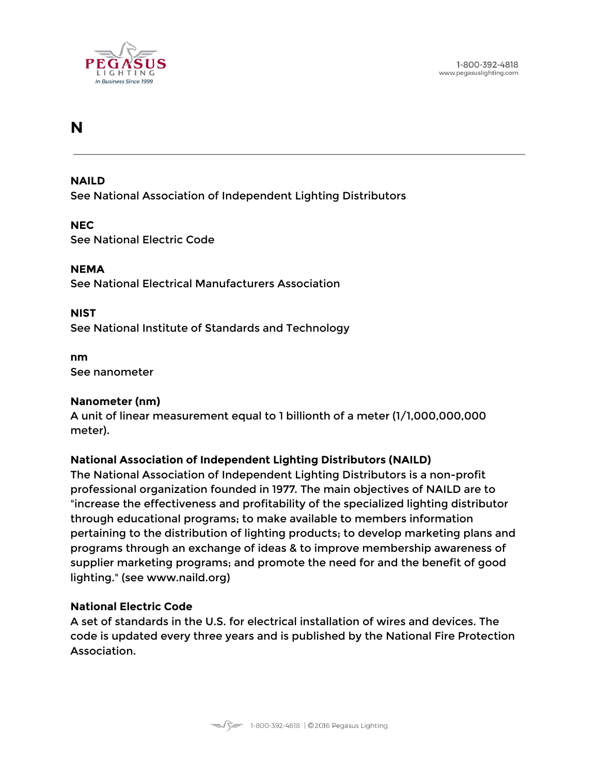

# <span id="page-40-0"></span>**N**

#### **NAILD**

See National Association of Independent Lighting Distributors

#### **NEC**

See National Electric Code

#### **NEMA**

See National Electrical Manufacturers Association

#### **NIST**

See National Institute of Standards and Technology

#### **nm** See nanometer

#### **Nanometer (nm)**

A unit of linear measurement equal to 1 billionth of a meter (1/1,000,000,000 meter).

#### **National Association of Independent Lighting Distributors (NAILD)**

The National Association of Independent Lighting Distributors is a non-profit professional organization founded in 1977. The main objectives of NAILD are to "increase the effectiveness and profitability of the specialized lighting distributor through educational programs; to make available to members information pertaining to the distribution of lighting products; to develop marketing plans and programs through an exchange of ideas & to improve membership awareness of supplier marketing programs; and promote the need for and the benefit of good lighting." (see www.naild.org)

#### **National Electric Code**

A set of standards in the U.S. for electrical installation of wires and devices. The code is updated every three years and is published by the National Fire Protection Association.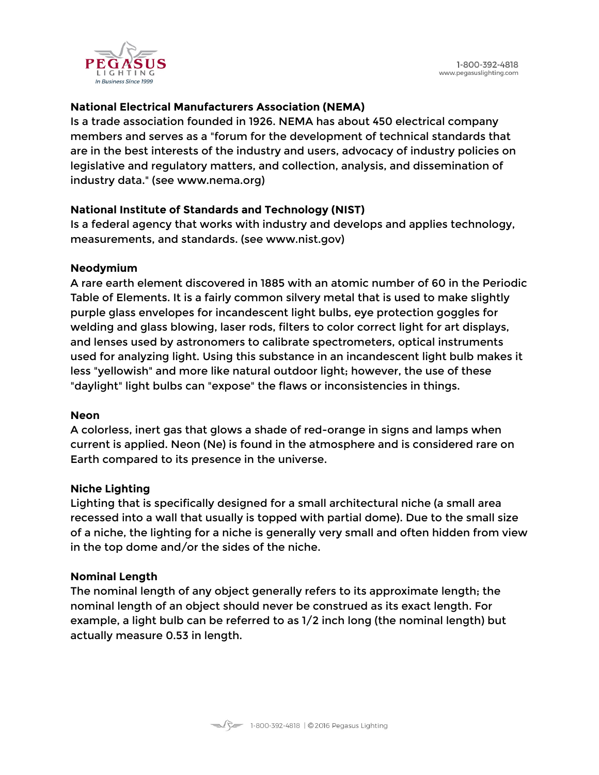

# **National Electrical Manufacturers Association (NEMA)**

Is a trade association founded in 1926. NEMA has about 450 electrical company members and serves as a "forum for the development of technical standards that are in the best interests of the industry and users, advocacy of industry policies on legislative and regulatory matters, and collection, analysis, and dissemination of industry data." (see www.nema.org)

#### **National Institute of Standards and Technology (NIST)**

Is a federal agency that works with industry and develops and applies technology, measurements, and standards. (see www.nist.gov)

#### **Neodymium**

A rare earth element discovered in 1885 with an atomic number of 60 in the Periodic Table of Elements. It is a fairly common silvery metal that is used to make slightly purple glass envelopes for incandescent light bulbs, eye protection goggles for welding and glass blowing, laser rods, filters to color correct light for art displays, and lenses used by astronomers to calibrate spectrometers, optical instruments used for analyzing light. Using this substance in an incandescent light bulb makes it less "yellowish" and more like natural outdoor light; however, the use of these "daylight" light bulbs can "expose" the flaws or inconsistencies in things.

#### **Neon**

A colorless, inert gas that glows a shade of red-orange in signs and lamps when current is applied. Neon (Ne) is found in the atmosphere and is considered rare on Earth compared to its presence in the universe.

#### **Niche Lighting**

Lighting that is specifically designed for a small architectural niche (a small area recessed into a wall that usually is topped with partial dome). Due to the small size of a niche, the lighting for a niche is generally very small and often hidden from view in the top dome and/or the sides of the niche.

#### **Nominal Length**

The nominal length of any object generally refers to its approximate length; the nominal length of an object should never be construed as its exact length. For example, a light bulb can be referred to as 1/2 inch long (the nominal length) but actually measure 0.53 in length.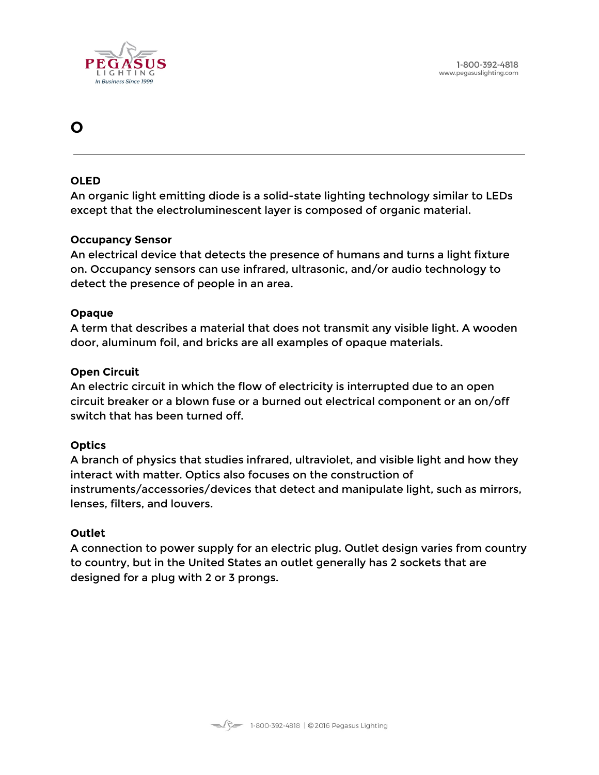

# <span id="page-42-0"></span>**O**

#### **OLED**

An organic light emitting diode is a solid-state lighting technology similar to LEDs except that the electroluminescent layer is composed of organic material.

#### **Occupancy Sensor**

An electrical device that detects the presence of humans and turns a light fixture on. Occupancy sensors can use infrared, ultrasonic, and/or audio technology to detect the presence of people in an area.

#### **Opaque**

A term that describes a material that does not transmit any visible light. A wooden door, aluminum foil, and bricks are all examples of opaque materials.

#### **Open Circuit**

An electric circuit in which the flow of electricity is interrupted due to an open circuit breaker or a blown fuse or a burned out electrical component or an on/off switch that has been turned off.

#### **Optics**

A branch of physics that studies infrared, ultraviolet, and visible light and how they interact with matter. Optics also focuses on the construction of instruments/accessories/devices that detect and manipulate light, such as mirrors, lenses, filters, and louvers.

#### **Outlet**

A connection to power supply for an electric plug. Outlet design varies from country to country, but in the United States an outlet generally has 2 sockets that are designed for a plug with 2 or 3 prongs.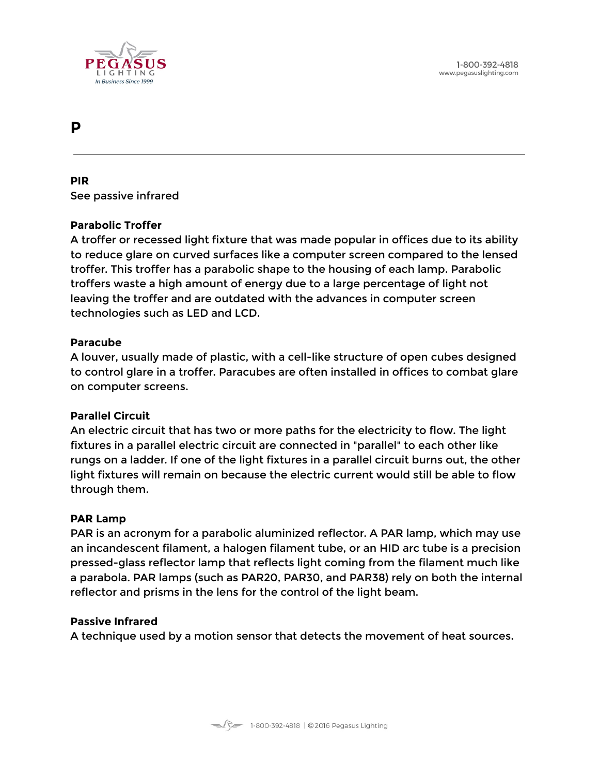

# <span id="page-43-0"></span>**P**

**PIR** See passive infrared

#### **Parabolic Troffer**

A troffer or recessed light fixture that was made popular in offices due to its ability to reduce glare on curved surfaces like a computer screen compared to the lensed troffer. This troffer has a parabolic shape to the housing of each lamp. Parabolic troffers waste a high amount of energy due to a large percentage of light not leaving the troffer and are outdated with the advances in computer screen technologies such as LED and LCD.

#### **Paracube**

A louver, usually made of plastic, with a cell-like structure of open cubes designed to control glare in a troffer. Paracubes are often installed in offices to combat glare on computer screens.

#### **Parallel Circuit**

An electric circuit that has two or more paths for the electricity to flow. The light fixtures in a parallel electric circuit are connected in "parallel" to each other like rungs on a ladder. If one of the light fixtures in a parallel circuit burns out, the other light fixtures will remain on because the electric current would still be able to flow through them.

#### **PAR Lamp**

PAR is an acronym for a parabolic aluminized reflector. A PAR lamp, which may use an incandescent filament, a halogen filament tube, or an HID arc tube is a precision pressed-glass reflector lamp that reflects light coming from the filament much like a parabola. PAR lamps (such as PAR20, PAR30, and PAR38) rely on both the internal reflector and prisms in the lens for the control of the light beam.

#### **Passive Infrared**

A technique used by a motion sensor that detects the movement of heat sources.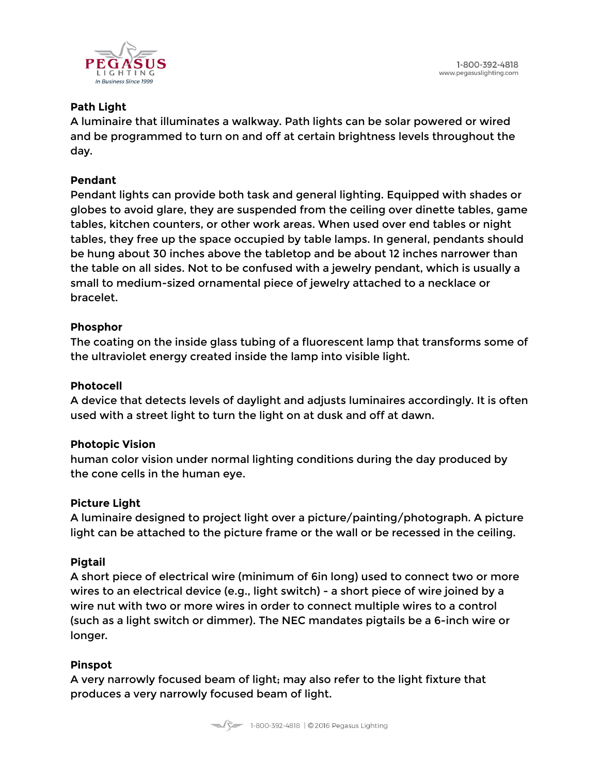

### **Path Light**

A luminaire that illuminates a walkway. Path lights can be solar powered or wired and be programmed to turn on and off at certain brightness levels throughout the day.

#### **Pendant**

Pendant lights can provide both task and general lighting. Equipped with shades or globes to avoid glare, they are suspended from the ceiling over dinette tables, game tables, kitchen counters, or other work areas. When used over end tables or night tables, they free up the space occupied by table lamps. In general, pendants should be hung about 30 inches above the tabletop and be about 12 inches narrower than the table on all sides. Not to be confused with a jewelry pendant, which is usually a small to medium-sized ornamental piece of jewelry attached to a necklace or bracelet.

# **Phosphor**

The coating on the inside glass tubing of a fluorescent lamp that transforms some of the ultraviolet energy created inside the lamp into visible light.

# **Photocell**

A device that detects levels of daylight and adjusts luminaires accordingly. It is often used with a street light to turn the light on at dusk and off at dawn.

#### **Photopic Vision**

human color vision under normal lighting conditions during the day produced by the cone cells in the human eye.

# **Picture Light**

A luminaire designed to project light over a picture/painting/photograph. A picture light can be attached to the picture frame or the wall or be recessed in the ceiling.

#### **Pigtail**

A short piece of electrical wire (minimum of 6in long) used to connect two or more wires to an electrical device (e.g., light switch) - a short piece of wire joined by a wire nut with two or more wires in order to connect multiple wires to a control (such as a light switch or dimmer). The NEC mandates pigtails be a 6-inch wire or longer.

# **Pinspot**

A very narrowly focused beam of light; may also refer to the light fixture that produces a very narrowly focused beam of light.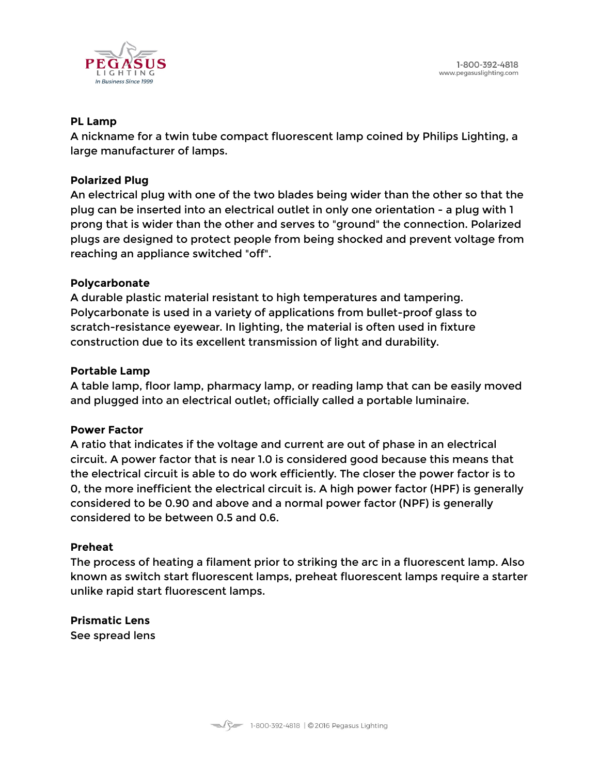

#### **PL Lamp**

A nickname for a twin tube compact fluorescent lamp coined by Philips Lighting, a large manufacturer of lamps.

#### **Polarized Plug**

An electrical plug with one of the two blades being wider than the other so that the plug can be inserted into an electrical outlet in only one orientation - a plug with 1 prong that is wider than the other and serves to "ground" the connection. Polarized plugs are designed to protect people from being shocked and prevent voltage from reaching an appliance switched "off".

#### **Polycarbonate**

A durable plastic material resistant to high temperatures and tampering. Polycarbonate is used in a variety of applications from bullet-proof glass to scratch-resistance eyewear. In lighting, the material is often used in fixture construction due to its excellent transmission of light and durability.

#### **Portable Lamp**

A table lamp, floor lamp, pharmacy lamp, or reading lamp that can be easily moved and plugged into an electrical outlet; officially called a portable luminaire.

#### **Power Factor**

A ratio that indicates if the voltage and current are out of phase in an electrical circuit. A power factor that is near 1.0 is considered good because this means that the electrical circuit is able to do work efficiently. The closer the power factor is to 0, the more inefficient the electrical circuit is. A high power factor (HPF) is generally considered to be 0.90 and above and a normal power factor (NPF) is generally considered to be between 0.5 and 0.6.

#### **Preheat**

The process of heating a filament prior to striking the arc in a fluorescent lamp. Also known as switch start fluorescent lamps, preheat fluorescent lamps require a starter unlike rapid start fluorescent lamps.

#### **Prismatic Lens**

See spread lens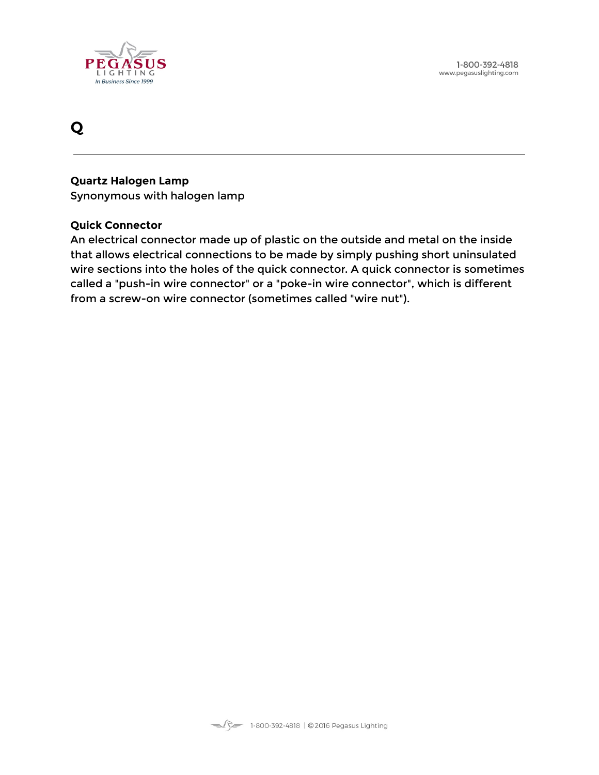

# <span id="page-46-0"></span>**Q**

#### **Quartz Halogen Lamp**

Synonymous with halogen lamp

#### **Quick Connector**

An electrical connector made up of plastic on the outside and metal on the inside that allows electrical connections to be made by simply pushing short uninsulated wire sections into the holes of the quick connector. A quick connector is sometimes called a "push-in wire connector" or a "poke-in wire connector", which is different from a screw-on wire connector (sometimes called "wire nut").

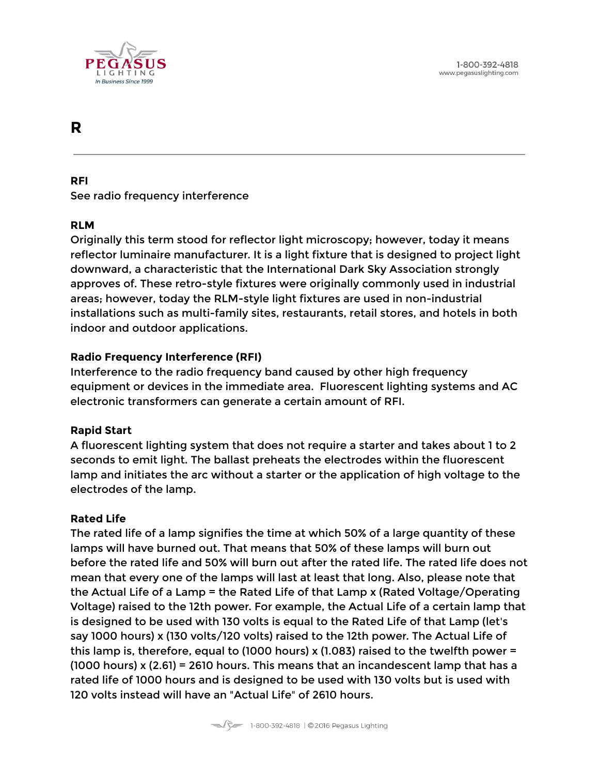

# <span id="page-47-0"></span>**R**

#### **RFI**

See radio frequency interference

# **RLM**

Originally this term stood for reflector light microscopy; however, today it means reflector luminaire manufacturer. It is a light fixture that is designed to project light downward, a characteristic that the International Dark Sky Association strongly approves of. These retro-style fixtures were originally commonly used in industrial areas; however, today the RLM-style light fixtures are used in non-industrial installations such as multi-family sites, restaurants, retail stores, and hotels in both indoor and outdoor applications.

# **Radio Frequency Interference (RFI)**

Interference to the radio frequency band caused by other high frequency equipment or devices in the immediate area. Fluorescent lighting systems and AC electronic transformers can generate a certain amount of RFI.

#### **Rapid Start**

A fluorescent lighting system that does not require a starter and takes about 1 to 2 seconds to emit light. The ballast preheats the electrodes within the fluorescent lamp and initiates the arc without a starter or the application of high voltage to the electrodes of the lamp.

#### **Rated Life**

The rated life of a lamp signifies the time at which 50% of a large quantity of these lamps will have burned out. That means that 50% of these lamps will burn out before the rated life and 50% will burn out after the rated life. The rated life does not mean that every one of the lamps will last at least that long. Also, please note that the Actual Life of a Lamp = the Rated Life of that Lamp x (Rated Voltage/Operating Voltage) raised to the 12th power. For example, the Actual Life of a certain lamp that is designed to be used with 130 volts is equal to the Rated Life of that Lamp (let's say 1000 hours) x (130 volts/120 volts) raised to the 12th power. The Actual Life of this lamp is, therefore, equal to (1000 hours) x (1.083) raised to the twelfth power = (1000 hours) x (2.61) = 2610 hours. This means that an incandescent lamp that has a rated life of 1000 hours and is designed to be used with 130 volts but is used with 120 volts instead will have an "Actual Life" of 2610 hours.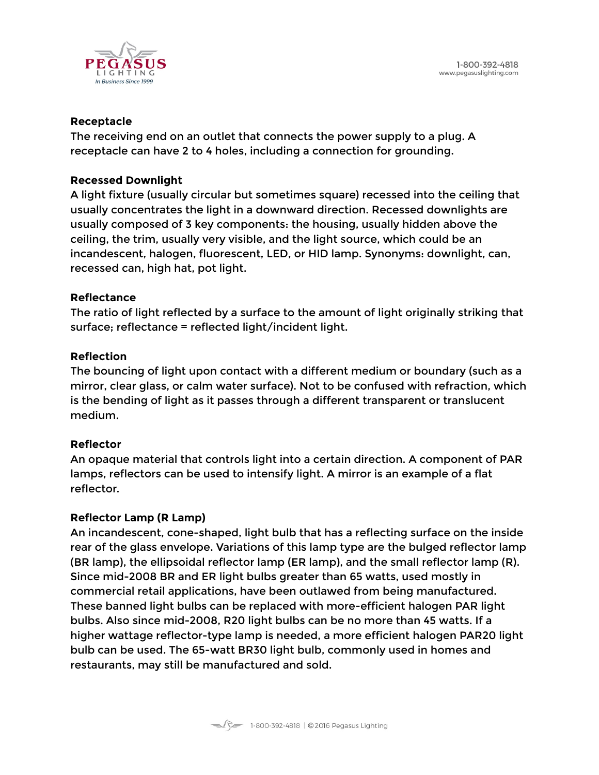

#### **Receptacle**

The receiving end on an outlet that connects the power supply to a plug. A receptacle can have 2 to 4 holes, including a connection for grounding.

#### **Recessed Downlight**

A light fixture (usually circular but sometimes square) recessed into the ceiling that usually concentrates the light in a downward direction. Recessed downlights are usually composed of 3 key components: the housing, usually hidden above the ceiling, the trim, usually very visible, and the light source, which could be an incandescent, halogen, fluorescent, LED, or HID lamp. Synonyms: downlight, can, recessed can, high hat, pot light.

#### **Reflectance**

The ratio of light reflected by a surface to the amount of light originally striking that surface; reflectance = reflected light/incident light.

#### **Reflection**

The bouncing of light upon contact with a different medium or boundary (such as a mirror, clear glass, or calm water surface). Not to be confused with refraction, which is the bending of light as it passes through a different transparent or translucent medium.

#### **Reflector**

An opaque material that controls light into a certain direction. A component of PAR lamps, reflectors can be used to intensify light. A mirror is an example of a flat reflector.

#### **Reflector Lamp (R Lamp)**

An incandescent, cone-shaped, light bulb that has a reflecting surface on the inside rear of the glass envelope. Variations of this lamp type are the bulged reflector lamp (BR lamp), the ellipsoidal reflector lamp (ER lamp), and the small reflector lamp (R). Since mid-2008 BR and ER light bulbs greater than 65 watts, used mostly in commercial retail applications, have been outlawed from being manufactured. These banned light bulbs can be replaced with more-efficient halogen PAR light bulbs. Also since mid-2008, R20 light bulbs can be no more than 45 watts. If a higher wattage reflector-type lamp is needed, a more efficient halogen PAR20 light bulb can be used. The 65-watt BR30 light bulb, commonly used in homes and restaurants, may still be manufactured and sold.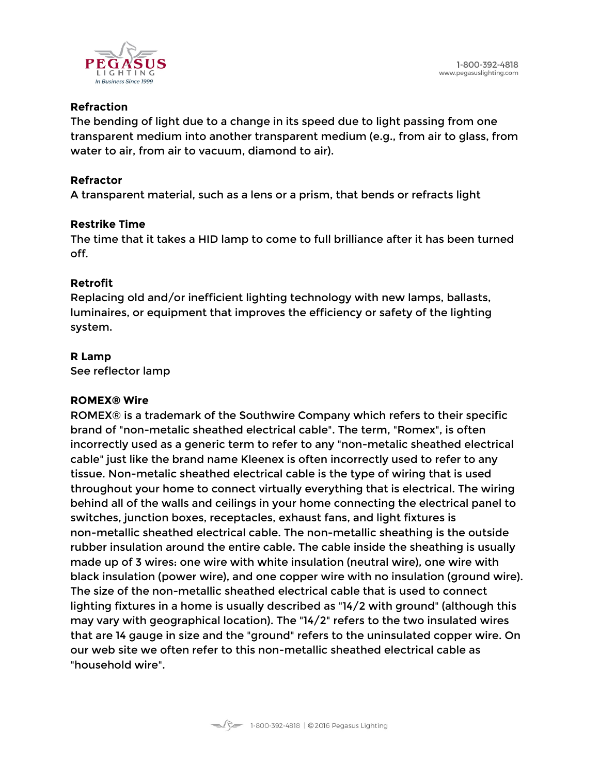

#### **Refraction**

The bending of light due to a change in its speed due to light passing from one transparent medium into another transparent medium (e.g., from air to glass, from water to air, from air to vacuum, diamond to air).

### **Refractor**

A transparent material, such as a lens or a prism, that bends or refracts light

#### **Restrike Time**

The time that it takes a HID lamp to come to full brilliance after it has been turned off.

# **Retrofit**

Replacing old and/or inefficient lighting technology with new lamps, ballasts, luminaires, or equipment that improves the efficiency or safety of the lighting system.

# **R Lamp**

See reflector lamp

#### **ROMEX® Wire**

ROMEX® is a trademark of the Southwire Company which refers to their specific brand of "non-metalic sheathed electrical cable". The term, "Romex", is often incorrectly used as a generic term to refer to any "non-metalic sheathed electrical cable" just like the brand name Kleenex is often incorrectly used to refer to any tissue. Non-metalic sheathed electrical cable is the type of wiring that is used throughout your home to connect virtually everything that is electrical. The wiring behind all of the walls and ceilings in your home connecting the electrical panel to switches, junction boxes, receptacles, exhaust fans, and light fixtures is non-metallic sheathed electrical cable. The non-metallic sheathing is the outside rubber insulation around the entire cable. The cable inside the sheathing is usually made up of 3 wires: one wire with white insulation (neutral wire), one wire with black insulation (power wire), and one copper wire with no insulation (ground wire). The size of the non-metallic sheathed electrical cable that is used to connect lighting fixtures in a home is usually described as "14/2 with ground" (although this may vary with geographical location). The "14/2" refers to the two insulated wires that are 14 gauge in size and the "ground" refers to the uninsulated copper wire. On our web site we often refer to this non-metallic sheathed electrical cable as "household wire".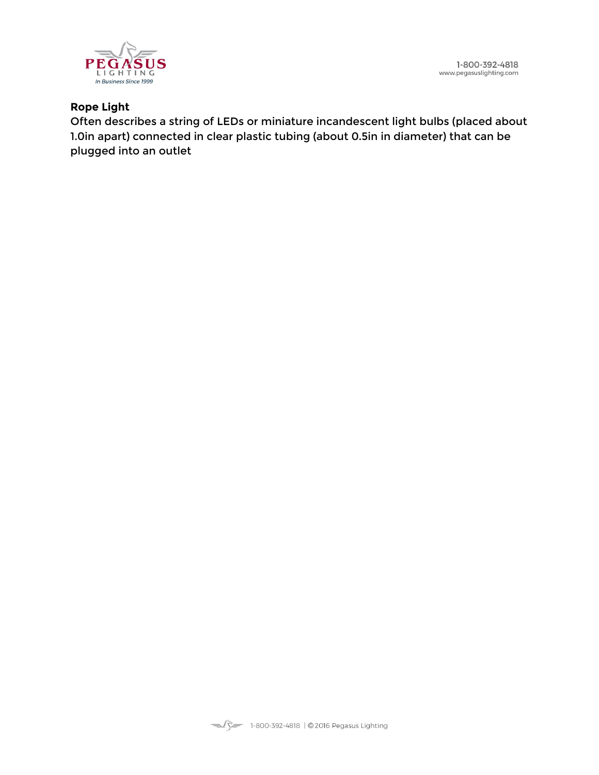1-800-392-4818 www.pegasuslighting.com



# **Rope Light**

Often describes a string of LEDs or miniature incandescent light bulbs (placed about 1.0in apart) connected in clear plastic tubing (about 0.5in in diameter) that can be plugged into an outlet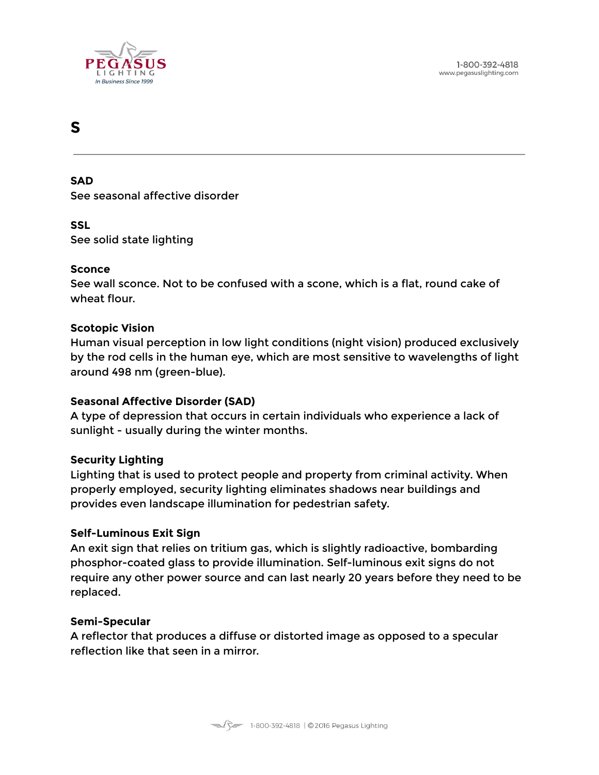

# <span id="page-51-0"></span>**S**

#### **SAD**

See seasonal affective disorder

#### **SSL**

See solid state lighting

#### **Sconce**

See wall sconce. Not to be confused with a scone, which is a flat, round cake of wheat flour.

#### **Scotopic Vision**

Human visual perception in low light conditions (night vision) produced exclusively by the rod cells in the human eye, which are most sensitive to wavelengths of light around 498 nm (green-blue).

#### **Seasonal Affective Disorder (SAD)**

A type of depression that occurs in certain individuals who experience a lack of sunlight - usually during the winter months.

#### **Security Lighting**

Lighting that is used to protect people and property from criminal activity. When properly employed, security lighting eliminates shadows near buildings and provides even landscape illumination for pedestrian safety.

#### **Self-Luminous Exit Sign**

An exit sign that relies on tritium gas, which is slightly radioactive, bombarding phosphor-coated glass to provide illumination. Self-luminous exit signs do not require any other power source and can last nearly 20 years before they need to be replaced.

#### **Semi-Specular**

A reflector that produces a diffuse or distorted image as opposed to a specular reflection like that seen in a mirror.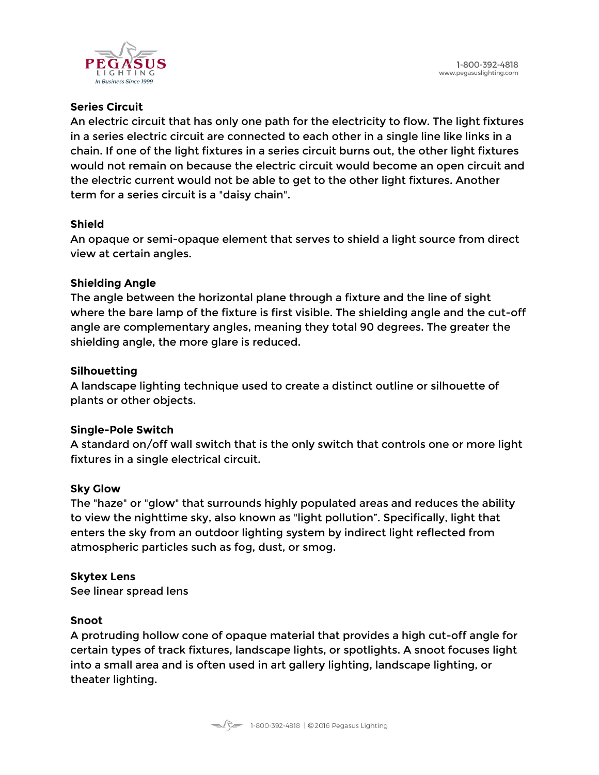

# **Series Circuit**

An electric circuit that has only one path for the electricity to flow. The light fixtures in a series electric circuit are connected to each other in a single line like links in a chain. If one of the light fixtures in a series circuit burns out, the other light fixtures would not remain on because the electric circuit would become an open circuit and the electric current would not be able to get to the other light fixtures. Another term for a series circuit is a "daisy chain".

# **Shield**

An opaque or semi-opaque element that serves to shield a light source from direct view at certain angles.

# **Shielding Angle**

The angle between the horizontal plane through a fixture and the line of sight where the bare lamp of the fixture is first visible. The shielding angle and the cut-off angle are complementary angles, meaning they total 90 degrees. The greater the shielding angle, the more glare is reduced.

# **Silhouetting**

A landscape lighting technique used to create a distinct outline or silhouette of plants or other objects.

# **Single-Pole Switch**

A standard on/off wall switch that is the only switch that controls one or more light fixtures in a single electrical circuit.

# **Sky Glow**

The "haze" or "glow" that surrounds highly populated areas and reduces the ability to view the nighttime sky, also known as "light pollution". Specifically, light that enters the sky from an outdoor lighting system by indirect light reflected from atmospheric particles such as fog, dust, or smog.

# **Skytex Lens**

See linear spread lens

#### **Snoot**

A protruding hollow cone of opaque material that provides a high cut-off angle for certain types of track fixtures, landscape lights, or spotlights. A snoot focuses light into a small area and is often used in art gallery lighting, landscape lighting, or theater lighting.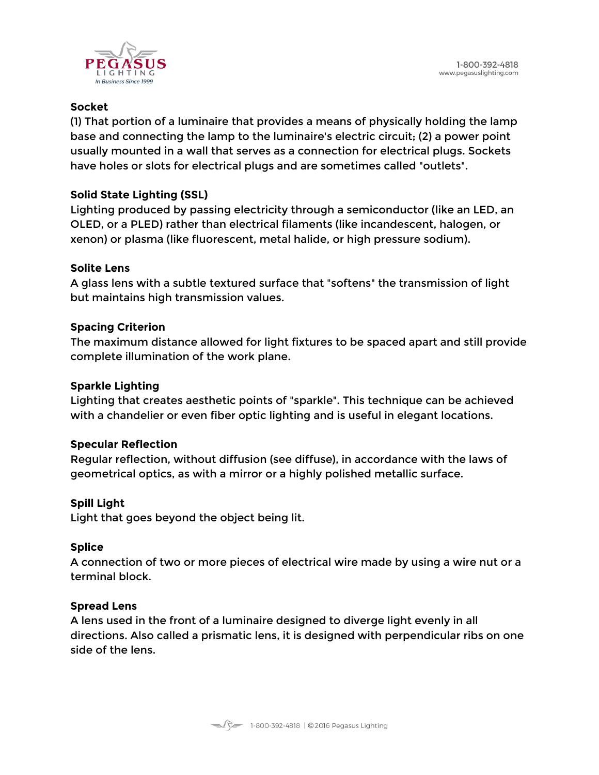

# **Socket**

(1) That portion of a luminaire that provides a means of physically holding the lamp base and connecting the lamp to the luminaire's electric circuit; (2) a power point usually mounted in a wall that serves as a connection for electrical plugs. Sockets have holes or slots for electrical plugs and are sometimes called "outlets".

# **Solid State Lighting (SSL)**

Lighting produced by passing electricity through a semiconductor (like an LED, an OLED, or a PLED) rather than electrical filaments (like incandescent, halogen, or xenon) or plasma (like fluorescent, metal halide, or high pressure sodium).

# **Solite Lens**

A glass lens with a subtle textured surface that "softens" the transmission of light but maintains high transmission values.

# **Spacing Criterion**

The maximum distance allowed for light fixtures to be spaced apart and still provide complete illumination of the work plane.

# **Sparkle Lighting**

Lighting that creates aesthetic points of "sparkle". This technique can be achieved with a chandelier or even fiber optic lighting and is useful in elegant locations.

#### **Specular Reflection**

Regular reflection, without diffusion (see diffuse), in accordance with the laws of geometrical optics, as with a mirror or a highly polished metallic surface.

# **Spill Light**

Light that goes beyond the object being lit.

# **Splice**

A connection of two or more pieces of electrical wire made by using a wire nut or a terminal block.

#### **Spread Lens**

A lens used in the front of a luminaire designed to diverge light evenly in all directions. Also called a prismatic lens, it is designed with perpendicular ribs on one side of the lens.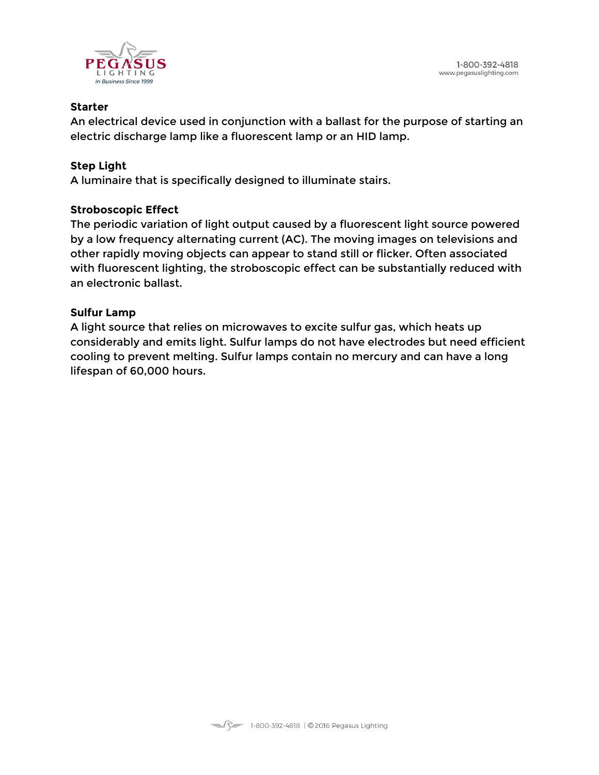

### **Starter**

An electrical device used in conjunction with a ballast for the purpose of starting an electric discharge lamp like a fluorescent lamp or an HID lamp.

# **Step Light**

A luminaire that is specifically designed to illuminate stairs.

# **Stroboscopic Effect**

The periodic variation of light output caused by a fluorescent light source powered by a low frequency alternating current (AC). The moving images on televisions and other rapidly moving objects can appear to stand still or flicker. Often associated with fluorescent lighting, the stroboscopic effect can be substantially reduced with an electronic ballast.

# **Sulfur Lamp**

A light source that relies on microwaves to excite sulfur gas, which heats up considerably and emits light. Sulfur lamps do not have electrodes but need efficient cooling to prevent melting. Sulfur lamps contain no mercury and can have a long lifespan of 60,000 hours.

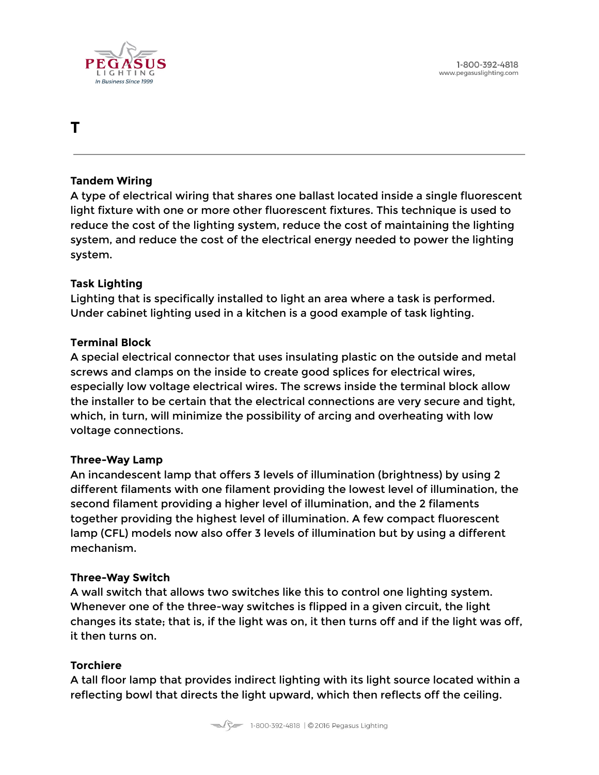



# <span id="page-55-0"></span>**T**

#### **Tandem Wiring**

A type of electrical wiring that shares one ballast located inside a single fluorescent light fixture with one or more other fluorescent fixtures. This technique is used to reduce the cost of the lighting system, reduce the cost of maintaining the lighting system, and reduce the cost of the electrical energy needed to power the lighting system.

#### **Task Lighting**

Lighting that is specifically installed to light an area where a task is performed. Under cabinet lighting used in a kitchen is a good example of task lighting.

#### **Terminal Block**

A special electrical connector that uses insulating plastic on the outside and metal screws and clamps on the inside to create good splices for electrical wires, especially low voltage electrical wires. The screws inside the terminal block allow the installer to be certain that the electrical connections are very secure and tight, which, in turn, will minimize the possibility of arcing and overheating with low voltage connections.

#### **Three-Way Lamp**

An incandescent lamp that offers 3 levels of illumination (brightness) by using 2 different filaments with one filament providing the lowest level of illumination, the second filament providing a higher level of illumination, and the 2 filaments together providing the highest level of illumination. A few compact fluorescent lamp (CFL) models now also offer 3 levels of illumination but by using a different mechanism.

#### **Three-Way Switch**

A wall switch that allows two switches like this to control one lighting system. Whenever one of the three-way switches is flipped in a given circuit, the light changes its state; that is, if the light was on, it then turns off and if the light was off, it then turns on.

#### **Torchiere**

A tall floor lamp that provides indirect lighting with its light source located within a reflecting bowl that directs the light upward, which then reflects off the ceiling.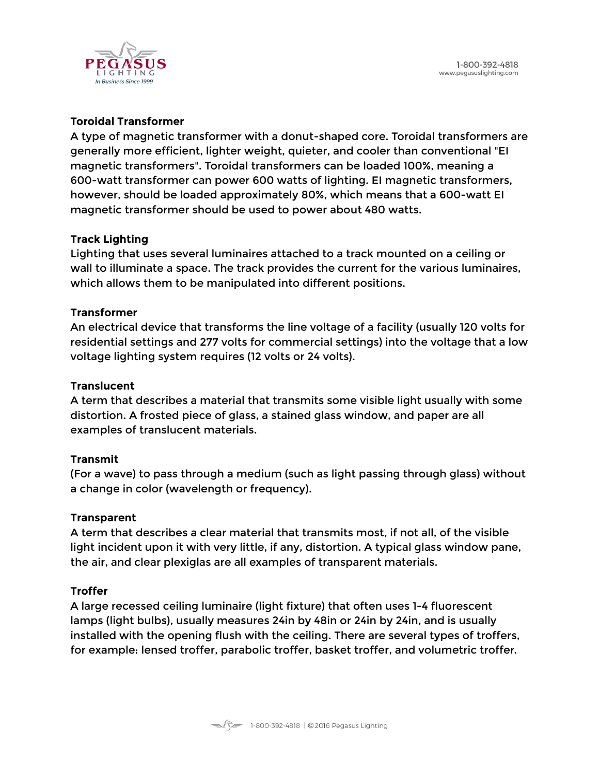

### **Toroidal Transformer**

A type of magnetic transformer with a donut-shaped core. Toroidal transformers are generally more efficient, lighter weight, quieter, and cooler than conventional "EI magnetic transformers". Toroidal transformers can be loaded 100%, meaning a 600-watt transformer can power 600 watts of lighting. EI magnetic transformers, however, should be loaded approximately 80%, which means that a 600-watt EI magnetic transformer should be used to power about 480 watts.

#### **Track Lighting**

Lighting that uses several luminaires attached to a track mounted on a ceiling or wall to illuminate a space. The track provides the current for the various luminaires, which allows them to be manipulated into different positions.

#### **Transformer**

An electrical device that transforms the line voltage of a facility (usually 120 volts for residential settings and 277 volts for commercial settings) into the voltage that a low voltage lighting system requires (12 volts or 24 volts).

#### **Translucent**

A term that describes a material that transmits some visible light usually with some distortion. A frosted piece of glass, a stained glass window, and paper are all examples of translucent materials.

#### **Transmit**

(For a wave) to pass through a medium (such as light passing through glass) without a change in color (wavelength or frequency).

#### **Transparent**

A term that describes a clear material that transmits most, if not all, of the visible light incident upon it with very little, if any, distortion. A typical glass window pane, the air, and clear plexiglas are all examples of transparent materials.

#### **Troffer**

A large recessed ceiling luminaire (light fixture) that often uses 1-4 fluorescent lamps (light bulbs), usually measures 24in by 48in or 24in by 24in, and is usually installed with the opening flush with the ceiling. There are several types of troffers, for example: lensed troffer, parabolic troffer, basket troffer, and volumetric troffer.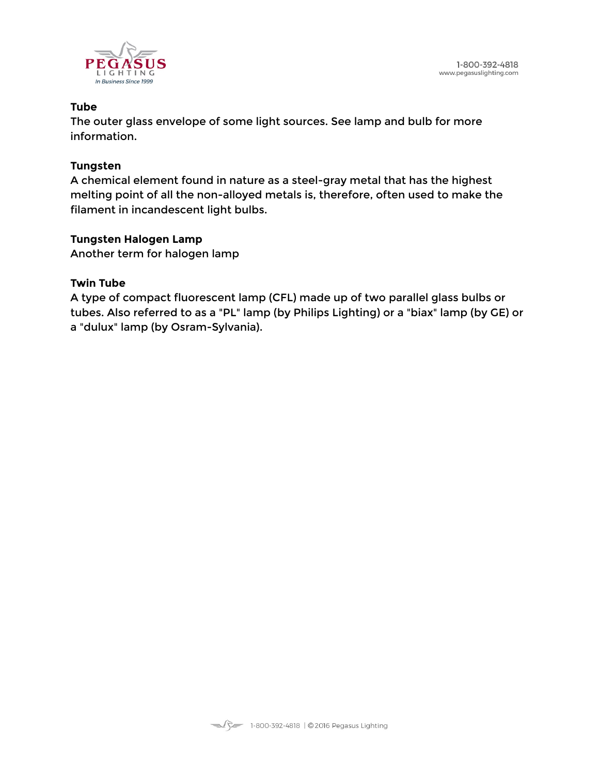

### **Tube**

The outer glass envelope of some light sources. See lamp and bulb for more information.

#### **Tungsten**

A chemical element found in nature as a steel-gray metal that has the highest melting point of all the non-alloyed metals is, therefore, often used to make the filament in incandescent light bulbs.

#### **Tungsten Halogen Lamp**

Another term for halogen lamp

#### **Twin Tube**

A type of compact fluorescent lamp (CFL) made up of two parallel glass bulbs or tubes. Also referred to as a "PL" lamp (by Philips Lighting) or a "biax" lamp (by GE) or a "dulux" lamp (by Osram-Sylvania).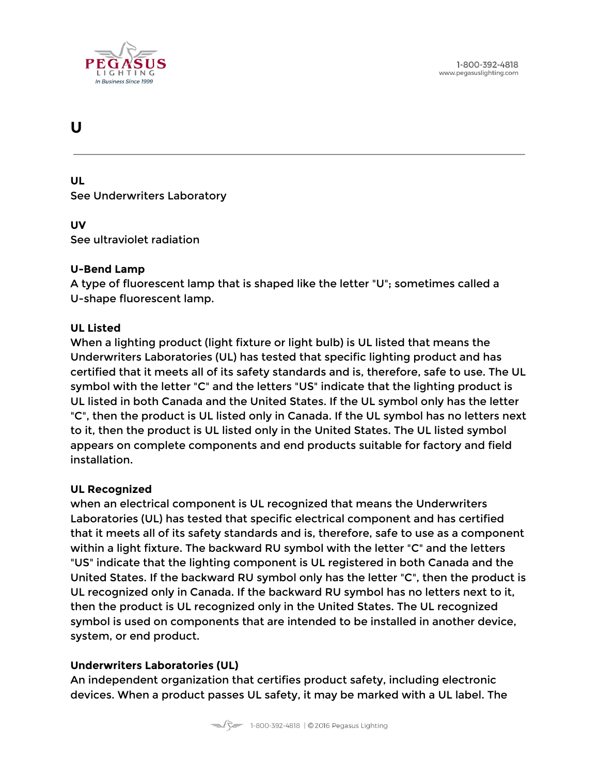

# <span id="page-58-0"></span>**U**

**UL** See Underwriters Laboratory

#### **UV**

See ultraviolet radiation

#### **U-Bend Lamp**

A type of fluorescent lamp that is shaped like the letter "U"; sometimes called a U-shape fluorescent lamp.

#### **UL Listed**

When a lighting product (light fixture or light bulb) is UL listed that means the Underwriters Laboratories (UL) has tested that specific lighting product and has certified that it meets all of its safety standards and is, therefore, safe to use. The UL symbol with the letter "C" and the letters "US" indicate that the lighting product is UL listed in both Canada and the United States. If the UL symbol only has the letter "C", then the product is UL listed only in Canada. If the UL symbol has no letters next to it, then the product is UL listed only in the United States. The UL listed symbol appears on complete components and end products suitable for factory and field installation.

#### **UL Recognized**

when an electrical component is UL recognized that means the Underwriters Laboratories (UL) has tested that specific electrical component and has certified that it meets all of its safety standards and is, therefore, safe to use as a component within a light fixture. The backward RU symbol with the letter "C" and the letters "US" indicate that the lighting component is UL registered in both Canada and the United States. If the backward RU symbol only has the letter "C", then the product is UL recognized only in Canada. If the backward RU symbol has no letters next to it, then the product is UL recognized only in the United States. The UL recognized symbol is used on components that are intended to be installed in another device, system, or end product.

#### **Underwriters Laboratories (UL)**

An independent organization that certifies product safety, including electronic devices. When a product passes UL safety, it may be marked with a UL label. The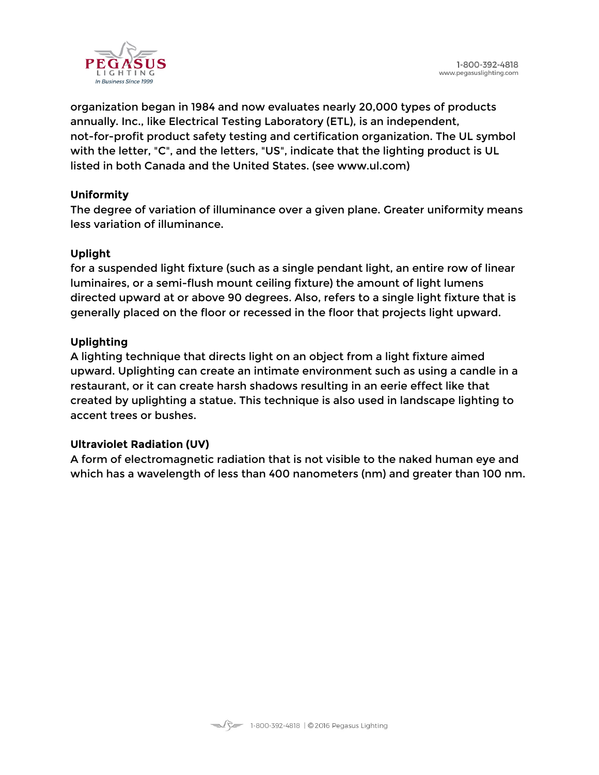

organization began in 1984 and now evaluates nearly 20,000 types of products annually. Inc., like Electrical Testing Laboratory (ETL), is an independent, not-for-profit product safety testing and certification organization. The UL symbol with the letter, "C", and the letters, "US", indicate that the lighting product is UL listed in both Canada and the United States. (see www.ul.com)

# **Uniformity**

The degree of variation of illuminance over a given plane. Greater uniformity means less variation of illuminance.

# **Uplight**

for a suspended light fixture (such as a single pendant light, an entire row of linear luminaires, or a semi-flush mount ceiling fixture) the amount of light lumens directed upward at or above 90 degrees. Also, refers to a single light fixture that is generally placed on the floor or recessed in the floor that projects light upward.

# **Uplighting**

A lighting technique that directs light on an object from a light fixture aimed upward. Uplighting can create an intimate environment such as using a candle in a restaurant, or it can create harsh shadows resulting in an eerie effect like that created by uplighting a statue. This technique is also used in landscape lighting to accent trees or bushes.

#### **Ultraviolet Radiation (UV)**

A form of electromagnetic radiation that is not visible to the naked human eye and which has a wavelength of less than 400 nanometers (nm) and greater than 100 nm.

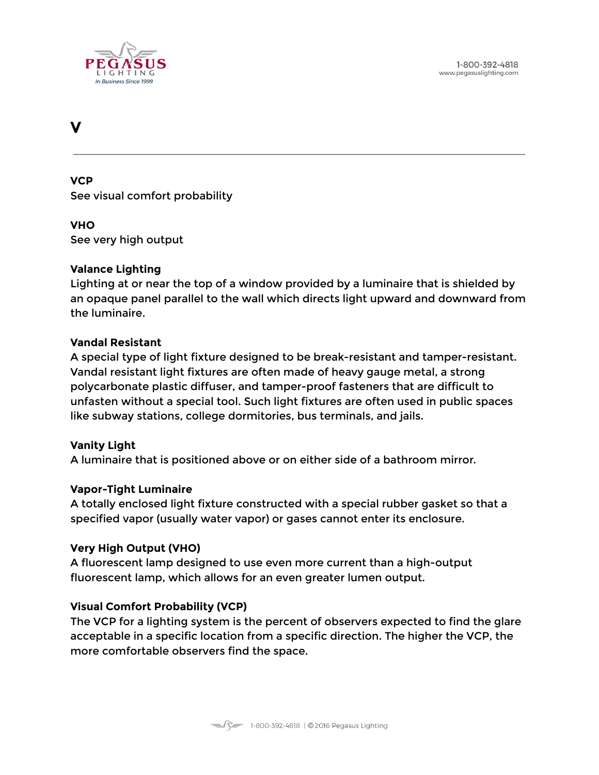

# <span id="page-60-0"></span>**V**

**VCP** See visual comfort probability

#### **VHO**

See very high output

#### **Valance Lighting**

Lighting at or near the top of a window provided by a luminaire that is shielded by an opaque panel parallel to the wall which directs light upward and downward from the luminaire.

#### **Vandal Resistant**

A special type of light fixture designed to be break-resistant and tamper-resistant. Vandal resistant light fixtures are often made of heavy gauge metal, a strong polycarbonate plastic diffuser, and tamper-proof fasteners that are difficult to unfasten without a special tool. Such light fixtures are often used in public spaces like subway stations, college dormitories, bus terminals, and jails.

#### **Vanity Light**

A luminaire that is positioned above or on either side of a bathroom mirror.

#### **Vapor-Tight Luminaire**

A totally enclosed light fixture constructed with a special rubber gasket so that a specified vapor (usually water vapor) or gases cannot enter its enclosure.

#### **Very High Output (VHO)**

A fluorescent lamp designed to use even more current than a high-output fluorescent lamp, which allows for an even greater lumen output.

#### **Visual Comfort Probability (VCP)**

The VCP for a lighting system is the percent of observers expected to find the glare acceptable in a specific location from a specific direction. The higher the VCP, the more comfortable observers find the space.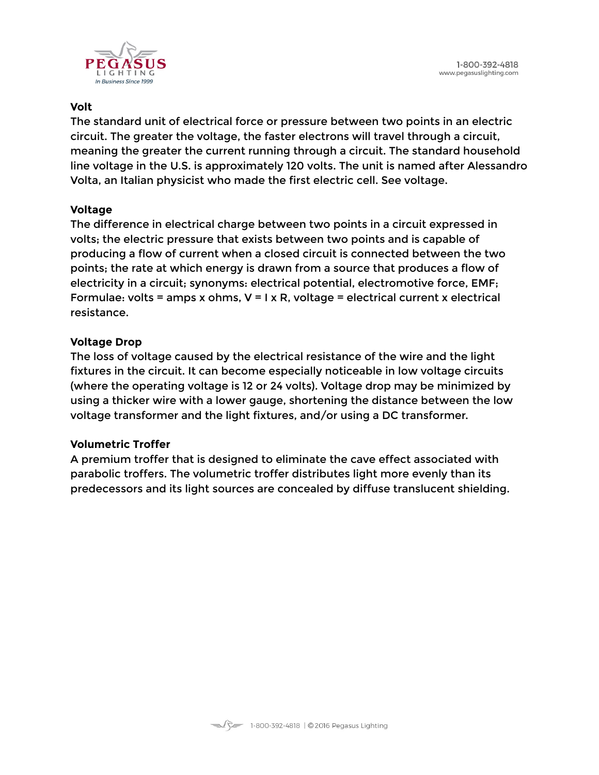

# **Volt**

The standard unit of electrical force or pressure between two points in an electric circuit. The greater the voltage, the faster electrons will travel through a circuit, meaning the greater the current running through a circuit. The standard household line voltage in the U.S. is approximately 120 volts. The unit is named after Alessandro Volta, an Italian physicist who made the first electric cell. See voltage.

# **Voltage**

The difference in electrical charge between two points in a circuit expressed in volts; the electric pressure that exists between two points and is capable of producing a flow of current when a closed circuit is connected between the two points; the rate at which energy is drawn from a source that produces a flow of electricity in a circuit; synonyms: electrical potential, electromotive force, EMF; Formulae: volts = amps x ohms,  $V = I \times R$ , voltage = electrical current x electrical resistance.

# **Voltage Drop**

The loss of voltage caused by the electrical resistance of the wire and the light fixtures in the circuit. It can become especially noticeable in low voltage circuits (where the operating voltage is 12 or 24 volts). Voltage drop may be minimized by using a thicker wire with a lower gauge, shortening the distance between the low voltage transformer and the light fixtures, and/or using a DC transformer.

#### **Volumetric Troffer**

A premium troffer that is designed to eliminate the cave effect associated with parabolic troffers. The volumetric troffer distributes light more evenly than its predecessors and its light sources are concealed by diffuse translucent shielding.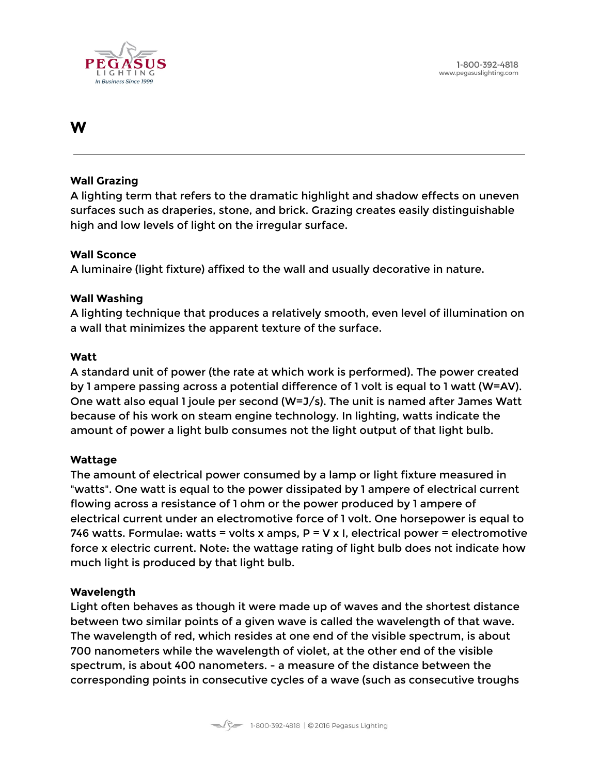

# <span id="page-62-0"></span>**W**

#### **Wall Grazing**

A lighting term that refers to the dramatic highlight and shadow effects on uneven surfaces such as draperies, stone, and brick. Grazing creates easily distinguishable high and low levels of light on the irregular surface.

#### **Wall Sconce**

A luminaire (light fixture) affixed to the wall and usually decorative in nature.

#### **Wall Washing**

A lighting technique that produces a relatively smooth, even level of illumination on a wall that minimizes the apparent texture of the surface.

#### **Watt**

A standard unit of power (the rate at which work is performed). The power created by 1 ampere passing across a potential difference of 1 volt is equal to 1 watt (W=AV). One watt also equal 1 joule per second (W=J/s). The unit is named after James Watt because of his work on steam engine technology. In lighting, watts indicate the amount of power a light bulb consumes not the light output of that light bulb.

#### **Wattage**

The amount of electrical power consumed by a lamp or light fixture measured in "watts". One watt is equal to the power dissipated by 1 ampere of electrical current flowing across a resistance of 1 ohm or the power produced by 1 ampere of electrical current under an electromotive force of 1 volt. One horsepower is equal to 746 watts. Formulae: watts = volts x amps,  $P = V \times I$ , electrical power = electromotive force x electric current. Note: the wattage rating of light bulb does not indicate how much light is produced by that light bulb.

#### **Wavelength**

Light often behaves as though it were made up of waves and the shortest distance between two similar points of a given wave is called the wavelength of that wave. The wavelength of red, which resides at one end of the visible spectrum, is about 700 nanometers while the wavelength of violet, at the other end of the visible spectrum, is about 400 nanometers. - a measure of the distance between the corresponding points in consecutive cycles of a wave (such as consecutive troughs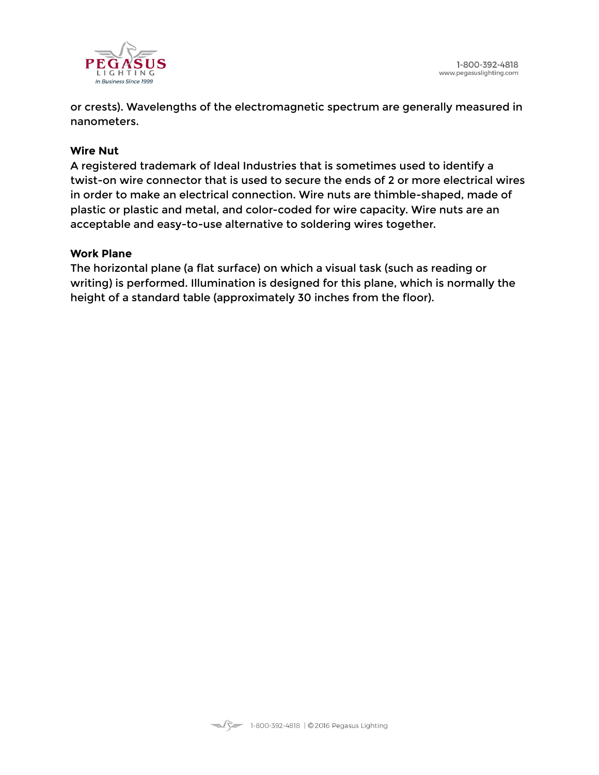

or crests). Wavelengths of the electromagnetic spectrum are generally measured in nanometers.

#### **Wire Nut**

A registered trademark of Ideal Industries that is sometimes used to identify a twist-on wire connector that is used to secure the ends of 2 or more electrical wires in order to make an electrical connection. Wire nuts are thimble-shaped, made of plastic or plastic and metal, and color-coded for wire capacity. Wire nuts are an acceptable and easy-to-use alternative to soldering wires together.

#### **Work Plane**

The horizontal plane (a flat surface) on which a visual task (such as reading or writing) is performed. Illumination is designed for this plane, which is normally the height of a standard table (approximately 30 inches from the floor).